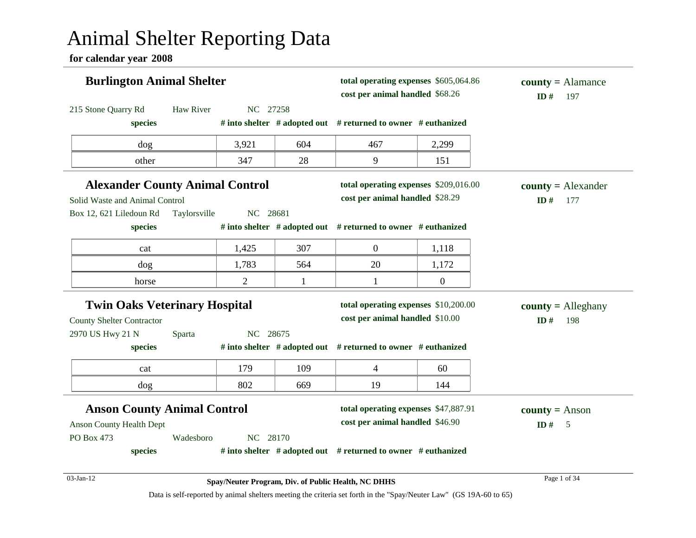# Animal Shelter Reporting Data

**for calendar year 2008**

| <b>Burlington Animal Shelter</b>                                         |              |                |              | total operating expenses \$605,064.86<br>cost per animal handled \$68.26 |                  | $county = \text{Alamance}$<br>ID#<br>197 |
|--------------------------------------------------------------------------|--------------|----------------|--------------|--------------------------------------------------------------------------|------------------|------------------------------------------|
| 215 Stone Quarry Rd                                                      | Haw River    | NC 27258       |              |                                                                          |                  |                                          |
| species                                                                  |              |                |              | # into shelter $#$ adopted out $#$ returned to owner $#$ euthanized      |                  |                                          |
| dog                                                                      |              | 3,921          | 604          | 467                                                                      | 2,299            |                                          |
| other                                                                    |              | 347            | 28           | 9                                                                        | 151              |                                          |
| <b>Alexander County Animal Control</b><br>Solid Waste and Animal Control |              |                |              | total operating expenses \$209,016.00<br>cost per animal handled \$28.29 |                  | $county = Alexander$<br>ID#<br>177       |
| Box 12, 621 Liledoun Rd                                                  | Taylorsville | NC 28681       |              |                                                                          |                  |                                          |
| species                                                                  |              |                |              | # into shelter $#$ adopted out $#$ returned to owner $#$ euthanized      |                  |                                          |
| cat                                                                      |              | 1,425          | 307          | $\boldsymbol{0}$                                                         | 1,118            |                                          |
| dog                                                                      |              | 1,783          | 564          | 20                                                                       | 1,172            |                                          |
| horse                                                                    |              | $\overline{2}$ | $\mathbf{1}$ | $\mathbf{1}$                                                             | $\boldsymbol{0}$ |                                          |
| <b>Twin Oaks Veterinary Hospital</b>                                     |              |                |              | total operating expenses \$10,200.00                                     |                  | $county =$ Alleghany                     |
| <b>County Shelter Contractor</b>                                         |              |                |              | cost per animal handled \$10.00                                          |                  | ID#<br>198                               |
| 2970 US Hwy 21 N                                                         | Sparta       | NC 28675       |              |                                                                          |                  |                                          |
| species                                                                  |              |                |              | # into shelter $#$ adopted out $#$ returned to owner $#$ euthanized      |                  |                                          |
| cat                                                                      |              | 179            | 109          | $\overline{4}$                                                           | 60               |                                          |
| dog                                                                      |              | 802            | 669          | 19                                                                       | 144              |                                          |
| <b>Anson County Animal Control</b>                                       |              |                |              | total operating expenses \$47,887.91                                     |                  | <b>county</b> = Anson                    |
| <b>Anson County Health Dept</b>                                          |              |                |              | cost per animal handled \$46.90                                          |                  | ID $#$<br>$\overline{5}$                 |
| PO Box 473                                                               | Wadesboro    | NC 28170       |              |                                                                          |                  |                                          |
| species                                                                  |              |                |              | # into shelter $#$ adopted out $#$ returned to owner $#$ euthanized      |                  |                                          |
| 03-Jan-12                                                                |              |                |              | Spay/Neuter Program, Div. of Public Health, NC DHHS                      |                  | Page 1 of 34                             |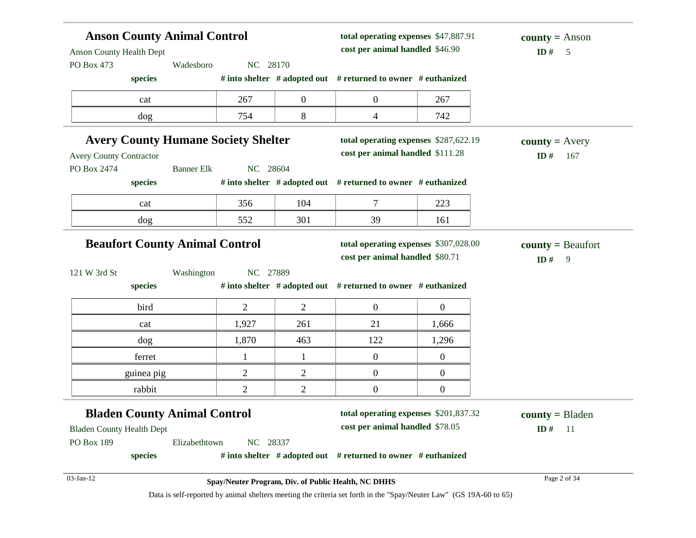| <b>Anson County Animal Control</b><br><b>Anson County Health Dept</b> |                                                     |                  | total operating expenses \$47,887.91<br>cost per animal handled \$46.90 |                                                                                                                    | <b>county</b> = Anson<br>ID $#$<br>5 |  |
|-----------------------------------------------------------------------|-----------------------------------------------------|------------------|-------------------------------------------------------------------------|--------------------------------------------------------------------------------------------------------------------|--------------------------------------|--|
| PO Box 473                                                            | Wadesboro<br>NC 28170                               |                  |                                                                         |                                                                                                                    |                                      |  |
| species                                                               |                                                     |                  | # into shelter # adopted out # returned to owner # euthanized           |                                                                                                                    |                                      |  |
| cat                                                                   | 267                                                 | $\boldsymbol{0}$ | $\boldsymbol{0}$                                                        | 267                                                                                                                |                                      |  |
| dog                                                                   | 754                                                 | 8                | 4                                                                       | 742                                                                                                                |                                      |  |
| <b>Avery County Humane Society Shelter</b>                            |                                                     |                  |                                                                         | total operating expenses \$287,622.19                                                                              | <b>county</b> = $A$ very             |  |
| <b>Avery County Contractor</b>                                        |                                                     |                  | cost per animal handled \$111.28                                        |                                                                                                                    | ID#<br>167                           |  |
| PO Box 2474                                                           | <b>Banner Elk</b><br>NC 28604                       |                  |                                                                         |                                                                                                                    |                                      |  |
| species                                                               |                                                     |                  | # into shelter # adopted out # returned to owner # euthanized           |                                                                                                                    |                                      |  |
| cat                                                                   | 356                                                 | 104              | $\tau$                                                                  | 223                                                                                                                |                                      |  |
| dog                                                                   | 552                                                 | 301              | 39                                                                      | 161                                                                                                                |                                      |  |
| <b>Beaufort County Animal Control</b>                                 |                                                     |                  | cost per animal handled \$80.71                                         | total operating expenses \$307,028.00                                                                              | $county = Beaufort$<br>ID#<br>9      |  |
| 121 W 3rd St<br>species                                               | NC 27889<br>Washington                              |                  | # into shelter # adopted out # returned to owner # euthanized           |                                                                                                                    |                                      |  |
| bird                                                                  | $\overline{2}$                                      | $\overline{2}$   | $\mathbf{0}$                                                            | $\overline{0}$                                                                                                     |                                      |  |
| cat                                                                   | 1,927                                               | 261              | 21                                                                      | 1,666                                                                                                              |                                      |  |
| dog                                                                   | 1,870                                               | 463              | 122                                                                     | 1,296                                                                                                              |                                      |  |
| ferret                                                                | $\mathbf{1}$                                        | 1                | $\boldsymbol{0}$                                                        | $\overline{0}$                                                                                                     |                                      |  |
| guinea pig                                                            | $\overline{2}$                                      | $\overline{2}$   | $\boldsymbol{0}$                                                        | $\overline{0}$                                                                                                     |                                      |  |
| rabbit                                                                | $\mathbf{2}$                                        | $\overline{c}$   | $\boldsymbol{0}$                                                        | $\boldsymbol{0}$                                                                                                   |                                      |  |
| <b>Bladen County Animal Control</b>                                   |                                                     |                  |                                                                         | total operating expenses \$201,837.32                                                                              | $county = B$ laden                   |  |
| <b>Bladen County Health Dept</b>                                      |                                                     |                  | cost per animal handled \$78.05                                         |                                                                                                                    | ID#<br>- 11                          |  |
| PO Box 189                                                            | NC 28337<br>Elizabethtown                           |                  |                                                                         |                                                                                                                    |                                      |  |
| species                                                               |                                                     |                  | # into shelter # adopted out # returned to owner # euthanized           |                                                                                                                    |                                      |  |
| 03-Jan-12                                                             | Spay/Neuter Program, Div. of Public Health, NC DHHS |                  |                                                                         |                                                                                                                    | Page 2 of 34                         |  |
|                                                                       |                                                     |                  |                                                                         | Data is self-reported by animal shelters meeting the criteria set forth in the "Spay/Neuter Law" (GS 19A-60 to 65) |                                      |  |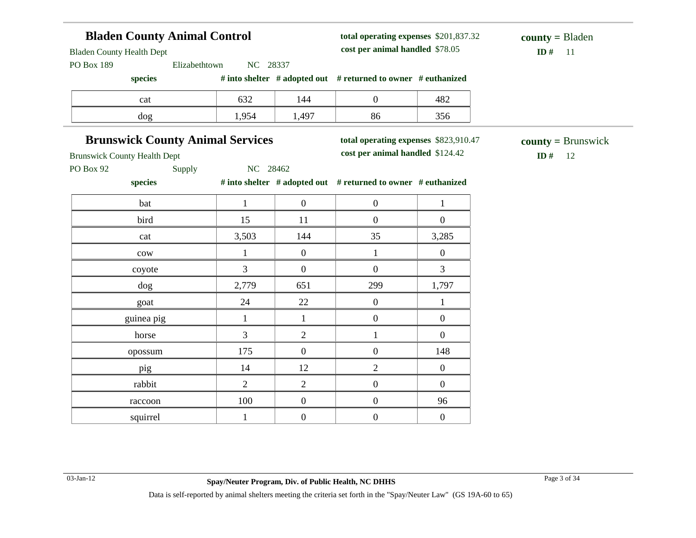## **Bladen County Animal Control**

**total operating expenses** \$201,837.32 **cost per animal handled**

### $ID# 11$ **county =** Bladen

**county =** Brunswick

Bladen County Health Dept

PO Box 189 Elizabethtown NC 28337

**species # into shelter # adopted out # returned to owner # euthanized**

| cat | $\sim$<br>ے ب | 144               |    | $\sim$<br>40∠                      |
|-----|---------------|-------------------|----|------------------------------------|
| dog | 05            | $\Delta$ 97<br>ェノ | oι | $\sim$ $\sim$ $\sim$<br><b>JJU</b> |

### **Brunswick County Animal Services**

**total operating expenses** \$823,910.47

**cost per animal handled** \$124.42 **ID #** 12

Brunswick County Health Dept

PO Box 92 Supply NC 28462

**species # into shelter # adopted out # returned to owner # euthanized**

| bat             |                | $\mathbf{0}$     | $\boldsymbol{0}$ | 1                |
|-----------------|----------------|------------------|------------------|------------------|
| bird            | 15             | 11               | $\boldsymbol{0}$ | $\boldsymbol{0}$ |
| cat             | 3,503          | 144              | 35               | 3,285            |
| $_{\text{cow}}$ |                | $\boldsymbol{0}$ |                  | $\boldsymbol{0}$ |
| coyote          | 3              | $\boldsymbol{0}$ | $\boldsymbol{0}$ | $\mathfrak{Z}$   |
| dog             | 2,779          | 651              | 299              | 1,797            |
| goat            | 24             | 22               | $\boldsymbol{0}$ | $\mathbf{1}$     |
| guinea pig      | -1             | 1                | $\boldsymbol{0}$ | $\boldsymbol{0}$ |
| horse           | $\overline{3}$ | $\overline{2}$   | 1                | $\boldsymbol{0}$ |
| opossum         | 175            | $\boldsymbol{0}$ | $\boldsymbol{0}$ | 148              |
| pig             | 14             | 12               | $\overline{2}$   | $\boldsymbol{0}$ |
| rabbit          | 2              | $\overline{2}$   | $\boldsymbol{0}$ | $\boldsymbol{0}$ |
| raccoon         | 100            | $\boldsymbol{0}$ | $\boldsymbol{0}$ | 96               |
| squirrel        | T.             | $\boldsymbol{0}$ | $\boldsymbol{0}$ | $\boldsymbol{0}$ |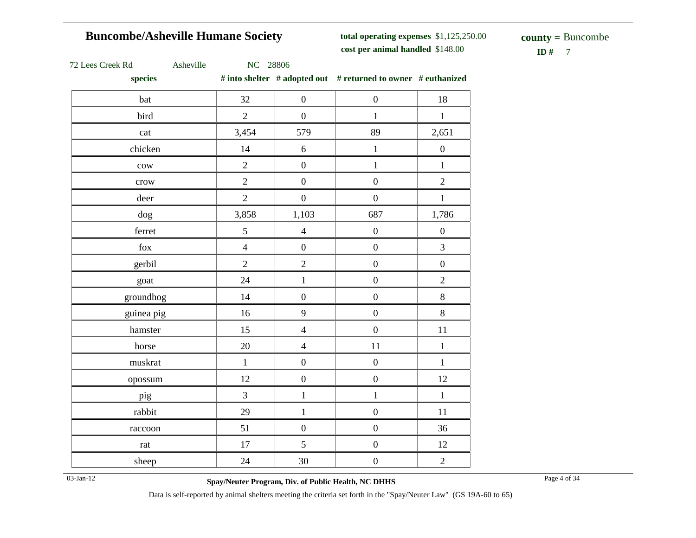## **Buncombe/Asheville Humane Society**

**total operating expenses** \$1,125,250.00 **cost per animal handled**

 $ID# 7$ **county =** Buncombe

|  | 72 Lees Creek Rd |  |  |  |
|--|------------------|--|--|--|
|--|------------------|--|--|--|

72 Lees Creek Rd Asheville NC 28806

**species # into shelter # adopted out # returned to owner # euthanized**

| 32             | $\boldsymbol{0}$ | $\boldsymbol{0}$ | 18                                                                           |
|----------------|------------------|------------------|------------------------------------------------------------------------------|
| $\overline{2}$ | $\boldsymbol{0}$ | $\mathbf{1}$     | $\,1\,$                                                                      |
| 3,454          | 579              | 89               | 2,651                                                                        |
| 14             | $\sqrt{6}$       | $\,1$            | $\boldsymbol{0}$                                                             |
| $\overline{2}$ | $\boldsymbol{0}$ | $\mathbf{1}$     | $\mathbf 1$                                                                  |
| $\overline{2}$ | $\overline{0}$   | $\overline{0}$   | $\overline{2}$                                                               |
| $\overline{2}$ | $\boldsymbol{0}$ | $\boldsymbol{0}$ | $\,1$                                                                        |
| 3,858          | 1,103            | 687              | 1,786                                                                        |
| 5              | $\overline{4}$   | $\boldsymbol{0}$ | $\boldsymbol{0}$                                                             |
| $\overline{4}$ | $\boldsymbol{0}$ | $\boldsymbol{0}$ | $\overline{3}$                                                               |
| $\overline{2}$ | $\overline{2}$   | $\boldsymbol{0}$ | $\boldsymbol{0}$                                                             |
| 24             | $\mathbf{1}$     | $\boldsymbol{0}$ | $\overline{2}$                                                               |
| 14             | $\boldsymbol{0}$ | $\boldsymbol{0}$ | $8\,$                                                                        |
| 16             | 9                | $\boldsymbol{0}$ | $8\,$                                                                        |
| 15             | $\overline{4}$   | $\boldsymbol{0}$ | 11                                                                           |
| 20             | $\overline{4}$   | 11               | $\,1$                                                                        |
| $\mathbf{1}$   | $\boldsymbol{0}$ | $\boldsymbol{0}$ | $\mathbf{1}$                                                                 |
| 12             | $\boldsymbol{0}$ | $\boldsymbol{0}$ | 12                                                                           |
| $\overline{3}$ | $\mathbf{1}$     | $\mathbf{1}$     | $\mathbf{1}$                                                                 |
| 29             | $\,1$            | $\boldsymbol{0}$ | 11                                                                           |
| 51             | $\boldsymbol{0}$ | $\boldsymbol{0}$ | 36                                                                           |
| 17             | 5                | $\boldsymbol{0}$ | 12                                                                           |
| 24             | $30\,$           | $\boldsymbol{0}$ | $\overline{2}$                                                               |
|                |                  |                  | $\pi$ muy shence $\pi$ adopted out $\pi$ returned to owner $\pi$ equitamized |

03-Jan-12 Page 4 of 34 **Spay/Neuter Program, Div. of Public Health, NC DHHS**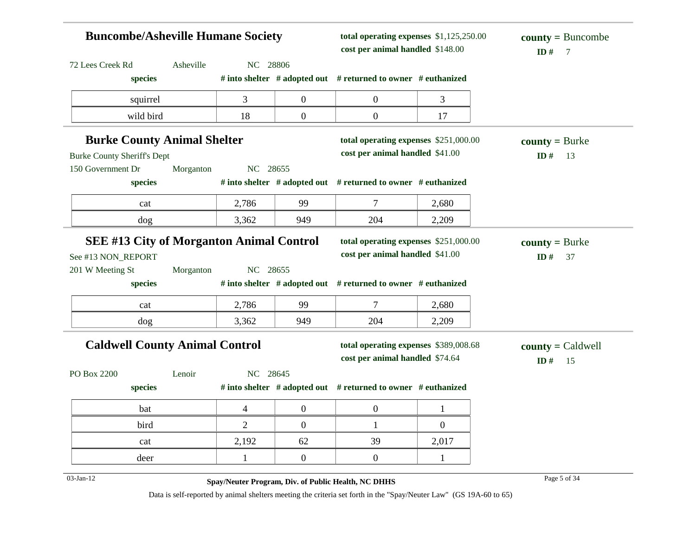| <b>Buncombe/Asheville Humane Society</b>        |           |                |                  | total operating expenses \$1,125,250.00<br>cost per animal handled \$148.00 | $county = Buncombe$<br>ID#<br>7 |                                   |
|-------------------------------------------------|-----------|----------------|------------------|-----------------------------------------------------------------------------|---------------------------------|-----------------------------------|
| 72 Lees Creek Rd                                | Asheville | NC 28806       |                  |                                                                             |                                 |                                   |
| species                                         |           |                |                  | # into shelter $#$ adopted out $#$ returned to owner $#$ euthanized         |                                 |                                   |
| squirrel                                        |           | 3              | $\overline{0}$   | $\boldsymbol{0}$                                                            | 3                               |                                   |
| wild bird                                       |           | 18             | $\boldsymbol{0}$ | $\boldsymbol{0}$                                                            | 17                              |                                   |
| <b>Burke County Animal Shelter</b>              |           |                |                  | total operating expenses \$251,000.00                                       |                                 | $county = Burke$                  |
| <b>Burke County Sheriff's Dept</b>              |           |                |                  | cost per animal handled \$41.00                                             |                                 | ID $#$<br>13                      |
| 150 Government Dr                               | Morganton | NC 28655       |                  |                                                                             |                                 |                                   |
| species                                         |           |                |                  | # into shelter # adopted out # returned to owner # euthanized               |                                 |                                   |
| cat                                             |           | 2,786          | 99               | 7                                                                           | 2,680                           |                                   |
| dog                                             |           | 3,362          | 949              | 204                                                                         | 2,209                           |                                   |
| <b>SEE #13 City of Morganton Animal Control</b> |           |                |                  | total operating expenses \$251,000.00                                       |                                 | $county = Burke$                  |
| See #13 NON_REPORT                              |           |                |                  | cost per animal handled \$41.00                                             |                                 | ID#<br>37                         |
| 201 W Meeting St                                | Morganton | NC 28655       |                  |                                                                             |                                 |                                   |
| species                                         |           |                |                  | # into shelter $#$ adopted out $#$ returned to owner $#$ euthanized         |                                 |                                   |
| cat                                             |           | 2,786          | 99               | $\tau$                                                                      | 2,680                           |                                   |
| dog                                             |           | 3,362          | 949              | 204                                                                         | 2,209                           |                                   |
| <b>Caldwell County Animal Control</b>           |           |                |                  | total operating expenses \$389,008.68                                       |                                 | $\text{county} = \text{Caldwell}$ |
|                                                 |           |                |                  | cost per animal handled \$74.64                                             |                                 | ID#<br>15                         |
| PO Box 2200                                     | Lenoir    | NC 28645       |                  |                                                                             |                                 |                                   |
| species                                         |           |                |                  | # into shelter # adopted out # returned to owner # euthanized               |                                 |                                   |
| bat                                             |           | 4              | $\boldsymbol{0}$ | $\boldsymbol{0}$                                                            | $\mathbf{1}$                    |                                   |
| bird                                            |           | $\overline{2}$ | $\overline{0}$   | $\mathbf{1}$                                                                | $\boldsymbol{0}$                |                                   |
| cat                                             |           | 2,192          | 62               | 39                                                                          | 2,017                           |                                   |
| deer                                            |           | $\mathbf{1}$   | $\overline{0}$   | $\boldsymbol{0}$                                                            | $\mathbf{1}$                    |                                   |
| $03-Jan-12$                                     |           |                |                  | Spay/Neuter Program, Div. of Public Health, NC DHHS                         |                                 | Page 5 of 34                      |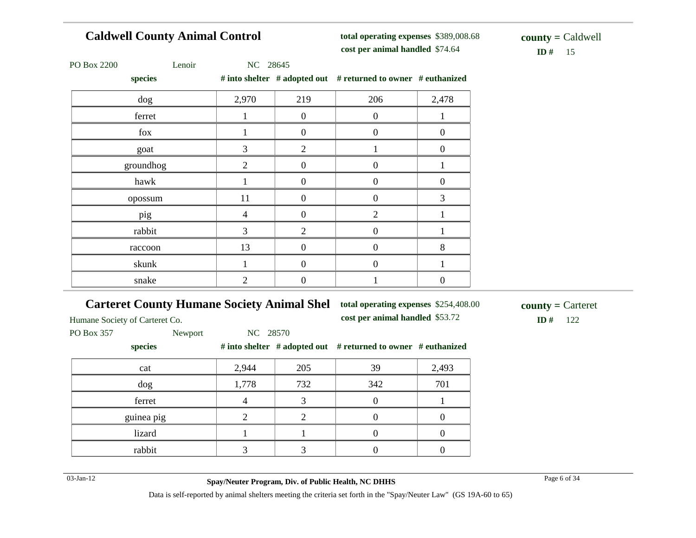## **Caldwell County Animal Control**

**total operating expenses** \$389,008.68 **cost per animal handled**

 $ID# 15$ **county =** Caldwell

| PO Box 2200 |  |
|-------------|--|
|-------------|--|

2200 Lenoir NC 28645

| species   |                |                | # into shelter # adopted out # returned to owner # euthanized |       |
|-----------|----------------|----------------|---------------------------------------------------------------|-------|
| dog       | 2,970          | 219            | 206                                                           | 2,478 |
| ferret    |                | $\theta$       | $\Omega$                                                      |       |
| fox       |                | 0              | $\theta$                                                      | 0     |
| goat      | 3              | $\overline{2}$ |                                                               | 0     |
| groundhog | $\overline{2}$ | 0              | $\boldsymbol{0}$                                              |       |
| hawk      |                | 0              | $\theta$                                                      | 0     |
| opossum   | 11             | 0              | $\overline{0}$                                                | 3     |
| pig       | 4              | 0              | $\overline{2}$                                                |       |
| rabbit    | 3              | $\overline{2}$ | $\theta$                                                      |       |
| raccoon   | 13             | 0              | $\theta$                                                      | 8     |
| skunk     |                | 0              | $\overline{0}$                                                |       |
| snake     | 2              | 0              |                                                               |       |

### **Carteret County Humane Society Animal Shel**

**total operating expenses** \$254,408.00

**cost per animal handled** \$53.72 **ID #** 122

Humane Society of Carteret Co.

PO Box 357 Newport NC 28570

| species    |       |     | # into shelter $#$ adopted out $#$ returned to owner $#$ euthanized |       |
|------------|-------|-----|---------------------------------------------------------------------|-------|
| cat        | 2,944 | 205 | 39                                                                  | 2,493 |
| dog        | 1,778 | 732 | 342                                                                 | 701   |
| ferret     |       |     |                                                                     |       |
| guinea pig |       |     |                                                                     |       |
| lizard     |       |     |                                                                     |       |
| rabbit     |       |     |                                                                     |       |

03-Jan-12 Page 6 of 34 **Spay/Neuter Program, Div. of Public Health, NC DHHS**

**county =** Carteret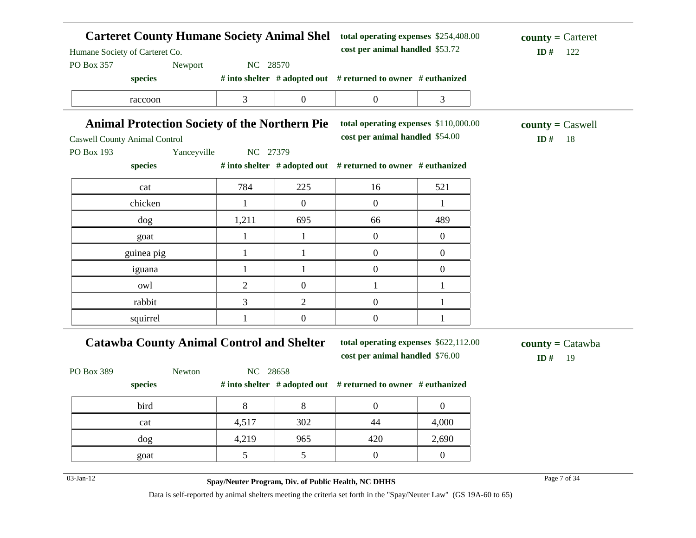| Humane Society of Carteret Co. |                                                      |                | <b>Carteret County Humane Society Animal Shel</b> | cost per animal handled \$53.72                               |                  |                           |
|--------------------------------|------------------------------------------------------|----------------|---------------------------------------------------|---------------------------------------------------------------|------------------|---------------------------|
| PO Box 357                     | Newport                                              | NC 28570       |                                                   |                                                               |                  |                           |
|                                | species                                              |                |                                                   | # into shelter # adopted out # returned to owner # euthanized |                  |                           |
|                                | raccoon                                              | 3              | $\boldsymbol{0}$                                  | $\overline{0}$                                                | 3                |                           |
|                                | <b>Animal Protection Society of the Northern Pie</b> |                |                                                   | total operating expenses \$110,000.00                         |                  | $county = Caswell$        |
|                                | <b>Caswell County Animal Control</b>                 |                |                                                   | cost per animal handled \$54.00                               |                  | ID $#$<br>-18             |
| PO Box 193                     | Yanceyville                                          | NC 27379       |                                                   |                                                               |                  |                           |
|                                | species                                              |                |                                                   | # into shelter # adopted out # returned to owner # euthanized |                  |                           |
|                                | cat                                                  | 784            | 225                                               | 16                                                            | 521              |                           |
|                                | chicken                                              | $\mathbf{1}$   | $\overline{0}$                                    | $\boldsymbol{0}$                                              | 1                |                           |
|                                | dog                                                  | 1,211          | 695                                               | 66                                                            | 489              |                           |
|                                | goat                                                 | $\mathbf{1}$   | $\mathbf{1}$                                      | $\mathbf{0}$                                                  | $\mathbf{0}$     |                           |
|                                | guinea pig                                           | 1              | $\mathbf{1}$                                      | $\overline{0}$                                                | $\overline{0}$   |                           |
|                                | iguana                                               | $\mathbf{1}$   | $\mathbf{1}$                                      | $\overline{0}$                                                | $\boldsymbol{0}$ |                           |
|                                | owl                                                  | $\overline{2}$ | $\boldsymbol{0}$                                  | $\mathbf{1}$                                                  | 1                |                           |
|                                | rabbit                                               | 3              | $\overline{2}$                                    | $\overline{0}$                                                | 1                |                           |
|                                | squirrel                                             | 1              | $\boldsymbol{0}$                                  | $\boldsymbol{0}$                                              | 1                |                           |
|                                | <b>Catawba County Animal Control and Shelter</b>     |                |                                                   | total operating expenses \$622,112.00                         |                  | $county = \text{Catawba}$ |
|                                |                                                      |                |                                                   | cost per animal handled \$76.00                               |                  | ID#<br>19                 |
| PO Box 389                     | Newton                                               | NC 28658       |                                                   |                                                               |                  |                           |
|                                | species                                              |                |                                                   | # into shelter # adopted out # returned to owner # euthanized |                  |                           |
|                                | bird                                                 | $8\,$          | $8\,$                                             | $\overline{0}$                                                | $\overline{0}$   |                           |
|                                | cat                                                  | 4,517          | 302                                               | 44                                                            | 4,000            |                           |
|                                | dog                                                  | 4,219          | 965                                               | 420                                                           | 2,690            |                           |
|                                | goat                                                 | 5              | 5                                                 | $\boldsymbol{0}$                                              | $\boldsymbol{0}$ |                           |
|                                |                                                      |                |                                                   |                                                               |                  |                           |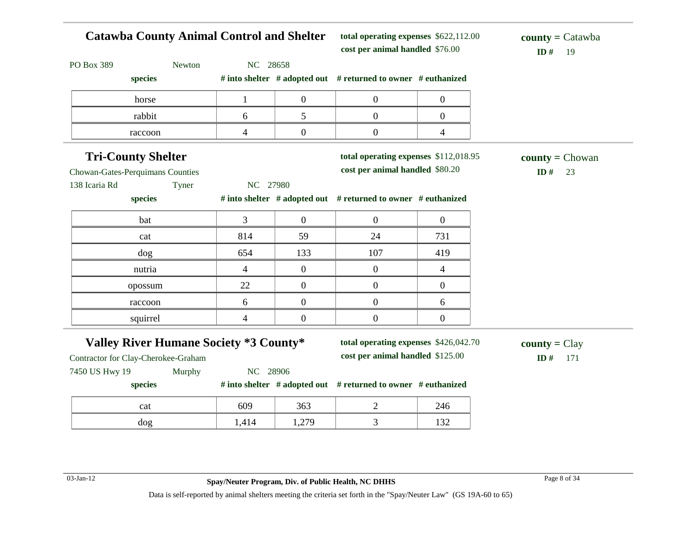| <b>Catawba County Animal Control and Shelter</b> |                |                  | total operating expenses \$622,112.00<br>cost per animal handled \$76.00 | $\text{county} = \text{Catawba}$<br>ID#<br>19 |                               |
|--------------------------------------------------|----------------|------------------|--------------------------------------------------------------------------|-----------------------------------------------|-------------------------------|
| PO Box 389                                       | Newton         | NC 28658         |                                                                          |                                               |                               |
| species                                          |                |                  | # into shelter # adopted out # returned to owner # euthanized            |                                               |                               |
| horse                                            | $\mathbf{1}$   | $\boldsymbol{0}$ | $\overline{0}$                                                           | $\boldsymbol{0}$                              |                               |
| rabbit                                           | 6              | 5                | $\overline{0}$                                                           | $\overline{0}$                                |                               |
| raccoon                                          | $\overline{4}$ | $\mathbf{0}$     | $\overline{0}$                                                           | $\overline{4}$                                |                               |
| <b>Tri-County Shelter</b>                        |                |                  | total operating expenses \$112,018.95                                    |                                               | $county = Chowan$             |
| Chowan-Gates-Perquimans Counties                 |                |                  | cost per animal handled \$80.20                                          |                                               | ID#<br>23                     |
| 138 Icaria Rd                                    | Tyner          | NC 27980         |                                                                          |                                               |                               |
| species                                          |                |                  | # into shelter # adopted out # returned to owner # euthanized            |                                               |                               |
| bat                                              | 3              | $\boldsymbol{0}$ | $\overline{0}$                                                           | $\boldsymbol{0}$                              |                               |
| cat                                              | 814            | 59               | 24                                                                       | 731                                           |                               |
| dog                                              | 654            | 133              | 107                                                                      | 419                                           |                               |
| nutria                                           | $\overline{4}$ | $\mathbf{0}$     | $\overline{0}$                                                           | $\overline{4}$                                |                               |
| opossum                                          | 22             | $\mathbf{0}$     | $\overline{0}$                                                           | $\boldsymbol{0}$                              |                               |
| raccoon                                          | 6              | $\boldsymbol{0}$ | $\overline{0}$                                                           | 6                                             |                               |
| squirrel                                         | $\overline{4}$ | $\overline{0}$   | $\overline{0}$                                                           | $\boldsymbol{0}$                              |                               |
| <b>Valley River Humane Society *3 County*</b>    |                |                  | total operating expenses \$426,042.70                                    |                                               | $\text{county} = \text{Clay}$ |
| Contractor for Clay-Cherokee-Graham              |                |                  | cost per animal handled \$125.00                                         |                                               | ID $#$<br>171                 |
| 7450 US Hwy 19                                   | Murphy         | NC 28906         |                                                                          |                                               |                               |
| species                                          |                |                  | # into shelter # adopted out # returned to owner # euthanized            |                                               |                               |
| cat                                              | 609            | 363              | $\overline{2}$                                                           | 246                                           |                               |
| dog                                              | 1,414          | 1,279            | $\mathfrak{Z}$                                                           | 132                                           |                               |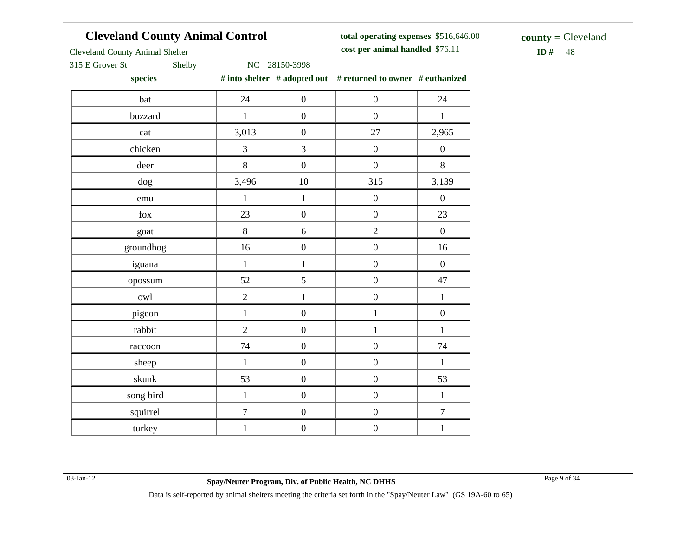## **Cleveland County Animal Control**

**total operating expenses** \$516,646.00 **cost per animal handled**

 $ID# 48$ **county =** Cleveland

Cleveland County Animal Shelter

315 E Grover St Shelby NC 28150-3998

**species # into shelter # adopted out # returned to owner # euthanized**

|            | $\ldots$ and $\ldots$ and $\ldots$ | $\sim$ $\sim$ $\sim$ | $\cdots$ $\sim$ $\sim$ $\sim$ $\sim$ |                  |
|------------|------------------------------------|----------------------|--------------------------------------|------------------|
| bat        | 24                                 | $\boldsymbol{0}$     | $\boldsymbol{0}$                     | 24               |
| buzzard    | $\,1\,$                            | $\boldsymbol{0}$     | $\boldsymbol{0}$                     | $\mathbf{1}$     |
| cat        | 3,013                              | $\boldsymbol{0}$     | $27\,$                               | 2,965            |
| chicken    | 3                                  | $\mathfrak{Z}$       | $\boldsymbol{0}$                     | $\boldsymbol{0}$ |
| deer       | $8\,$                              | $\boldsymbol{0}$     | $\boldsymbol{0}$                     | $8\,$            |
| dog        | 3,496                              | $10\,$               | 315                                  | 3,139            |
| emu        | $\mathbf{1}$                       | $\mathbf{1}$         | $\overline{0}$                       | $\boldsymbol{0}$ |
| $\rm{fox}$ | 23                                 | $\boldsymbol{0}$     | $\boldsymbol{0}$                     | $23\,$           |
| goat       | 8                                  | 6                    | $\overline{2}$                       | $\boldsymbol{0}$ |
| groundhog  | 16                                 | $\boldsymbol{0}$     | $\boldsymbol{0}$                     | $16\,$           |
| iguana     | $\mathbf{1}$                       | $\mathbf 1$          | $\boldsymbol{0}$                     | $\boldsymbol{0}$ |
| opossum    | 52                                 | 5                    | $\boldsymbol{0}$                     | 47               |
| owl        | $\overline{2}$                     | $\mathbf{1}$         | $\boldsymbol{0}$                     | $\,1\,$          |
| pigeon     | $\mathbf{1}$                       | $\boldsymbol{0}$     | $\,1$                                | $\boldsymbol{0}$ |
| rabbit     | $\overline{2}$                     | $\boldsymbol{0}$     | $\,1$                                | $\mathbf{1}$     |
| raccoon    | 74                                 | $\boldsymbol{0}$     | $\boldsymbol{0}$                     | 74               |
| sheep      | $\mathbf{1}$                       | $\boldsymbol{0}$     | $\boldsymbol{0}$                     | $\mathbf{1}$     |
| skunk      | 53                                 | $\boldsymbol{0}$     | $\boldsymbol{0}$                     | 53               |
| song bird  | $\mathbf{1}$                       | $\boldsymbol{0}$     | $\boldsymbol{0}$                     | $\mathbf{1}$     |
| squirrel   | $\overline{7}$                     | $\boldsymbol{0}$     | $\boldsymbol{0}$                     | $\boldsymbol{7}$ |
| turkey     | $\mathbf 1$                        | $\boldsymbol{0}$     | $\boldsymbol{0}$                     | $\,1$            |
|            |                                    |                      |                                      |                  |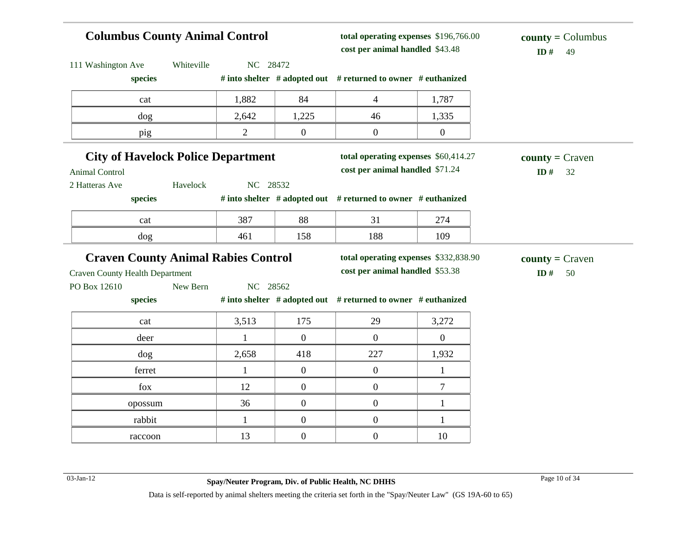## **Columbus County Animal Control**

**total operating expenses** \$196,766.00 **cost per animal handled**

| 111 Washington Ave                                               | Whiteville | NC 28472       |                  |                                                                          |                  |                    |
|------------------------------------------------------------------|------------|----------------|------------------|--------------------------------------------------------------------------|------------------|--------------------|
| species                                                          |            |                |                  | # into shelter # adopted out # returned to owner # euthanized            |                  |                    |
| cat                                                              |            | 1,882          | 84               | 4                                                                        | 1,787            |                    |
| dog                                                              |            | 2,642          | 1,225            | 46                                                                       | 1,335            |                    |
| pig                                                              |            | $\overline{2}$ | $\boldsymbol{0}$ | $\boldsymbol{0}$                                                         | $\overline{0}$   |                    |
| <b>City of Havelock Police Department</b>                        |            |                |                  | total operating expenses \$60,414.27                                     |                  | $county = Craven$  |
| <b>Animal Control</b>                                            |            |                |                  | cost per animal handled \$71.24                                          |                  | ID#<br>32          |
| 2 Hatteras Ave                                                   | Havelock   | NC 28532       |                  |                                                                          |                  |                    |
| species                                                          |            |                |                  | # into shelter # adopted out # returned to owner # euthanized            |                  |                    |
| cat                                                              |            | 387            | 88               | 31                                                                       | 274              |                    |
| dog                                                              |            | 461            | 158              | 188                                                                      | 109              |                    |
|                                                                  |            |                |                  |                                                                          |                  |                    |
|                                                                  |            |                |                  |                                                                          |                  |                    |
| <b>Craven County Animal Rabies Control</b>                       |            |                |                  | total operating expenses \$332,838.90<br>cost per animal handled \$53.38 |                  | $county = C$ raven |
|                                                                  | New Bern   | NC 28562       |                  |                                                                          |                  | ID#<br>50          |
| species                                                          |            |                |                  | # into shelter # adopted out # returned to owner # euthanized            |                  |                    |
| cat                                                              |            | 3,513          | 175              | 29                                                                       | 3,272            |                    |
| deer                                                             |            | $\mathbf{1}$   | $\mathbf{0}$     | $\overline{0}$                                                           | $\boldsymbol{0}$ |                    |
| $\log$                                                           |            | 2,658          | 418              | 227                                                                      | 1,932            |                    |
| ferret                                                           |            | $\mathbf{1}$   | $\boldsymbol{0}$ | $\boldsymbol{0}$                                                         | $\mathbf{1}$     |                    |
| fox                                                              |            | 12             | $\boldsymbol{0}$ | $\boldsymbol{0}$                                                         | $\tau$           |                    |
| opossum                                                          |            | 36             | $\boldsymbol{0}$ | $\boldsymbol{0}$                                                         | 1                |                    |
| <b>Craven County Health Department</b><br>PO Box 12610<br>rabbit |            | 1              | $\boldsymbol{0}$ | $\boldsymbol{0}$                                                         | 1                |                    |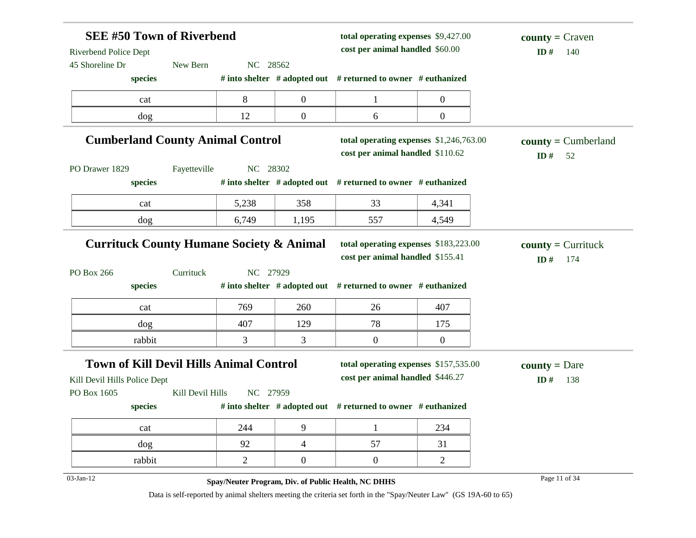| <b>SEE #50 Town of Riverbend</b><br>Riverbend Police Dept |                  |                | total operating expenses \$9,427.00<br>cost per animal handled \$60.00 |                                                                     | $county = Craven$<br>ID#<br>140 |                       |  |
|-----------------------------------------------------------|------------------|----------------|------------------------------------------------------------------------|---------------------------------------------------------------------|---------------------------------|-----------------------|--|
| 45 Shoreline Dr                                           | New Bern         | NC 28562       |                                                                        |                                                                     |                                 |                       |  |
| species                                                   |                  |                |                                                                        | # into shelter # adopted out # returned to owner # euthanized       |                                 |                       |  |
| cat                                                       |                  | 8              | $\boldsymbol{0}$                                                       | $\mathbf{1}$                                                        | $\boldsymbol{0}$                |                       |  |
| dog                                                       |                  | 12             | $\overline{0}$                                                         | 6                                                                   | $\boldsymbol{0}$                |                       |  |
| <b>Cumberland County Animal Control</b>                   |                  |                |                                                                        | total operating expenses \$1,246,763.00                             |                                 | $county = Cumberland$ |  |
| PO Drawer 1829                                            | Fayetteville     | NC 28302       |                                                                        | cost per animal handled \$110.62                                    |                                 | ID#<br>52             |  |
| species                                                   |                  |                |                                                                        | # into shelter # adopted out # returned to owner # euthanized       |                                 |                       |  |
| cat                                                       |                  | 5,238          | 358                                                                    | 33                                                                  | 4,341                           |                       |  |
| dog                                                       |                  | 6,749          | 1,195                                                                  | 557                                                                 | 4,549                           |                       |  |
| PO Box 266                                                |                  | NC 27929       |                                                                        | cost per animal handled \$155.41                                    |                                 | ID#<br>174            |  |
|                                                           |                  |                |                                                                        |                                                                     |                                 |                       |  |
| species                                                   | Currituck        |                |                                                                        | # into shelter # adopted out # returned to owner # euthanized       |                                 |                       |  |
| cat                                                       |                  | 769            | 260                                                                    | 26                                                                  | 407                             |                       |  |
| dog                                                       |                  | 407            | 129                                                                    | 78                                                                  | 175                             |                       |  |
| rabbit                                                    |                  | 3              | 3                                                                      | $\boldsymbol{0}$                                                    | 0                               |                       |  |
| <b>Town of Kill Devil Hills Animal Control</b>            |                  |                |                                                                        | total operating expenses \$157,535.00                               |                                 | <b>county</b> = Dare  |  |
| Kill Devil Hills Police Dept                              |                  |                |                                                                        | cost per animal handled \$446.27                                    |                                 | ID#<br>138            |  |
| PO Box 1605                                               | Kill Devil Hills | NC 27959       |                                                                        |                                                                     |                                 |                       |  |
| species                                                   |                  |                |                                                                        | # into shelter $#$ adopted out $#$ returned to owner $#$ euthanized |                                 |                       |  |
| cat                                                       |                  | 244            | 9                                                                      | 1                                                                   | 234                             |                       |  |
| dog                                                       |                  | 92             | $\overline{4}$                                                         | 57                                                                  | 31                              |                       |  |
| rabbit                                                    |                  | $\overline{2}$ | $\overline{0}$                                                         | $\boldsymbol{0}$                                                    | $\overline{2}$                  |                       |  |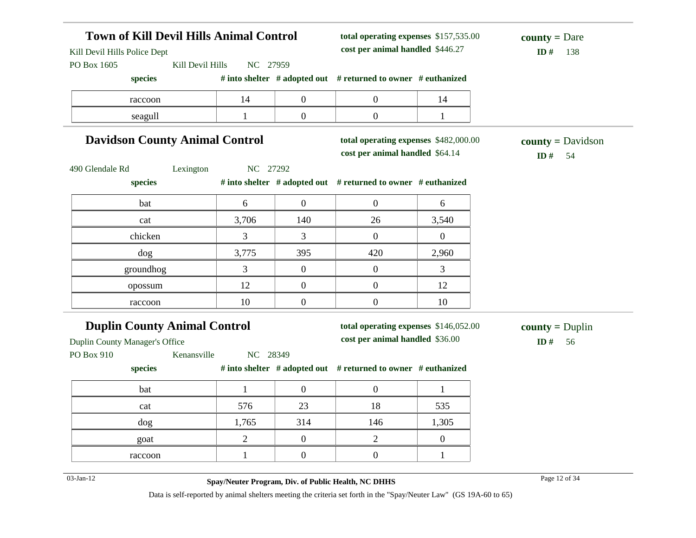| <b>Town of Kill Devil Hills Animal Control</b><br>Kill Devil Hills Police Dept |                  |                |                  | total operating expenses \$157,535.00<br>cost per animal handled \$446.27 |                | <b>county</b> = Dare<br>ID#<br>138         |
|--------------------------------------------------------------------------------|------------------|----------------|------------------|---------------------------------------------------------------------------|----------------|--------------------------------------------|
| PO Box 1605                                                                    | Kill Devil Hills | NC 27959       |                  |                                                                           |                |                                            |
| species                                                                        |                  |                |                  | # into shelter # adopted out # returned to owner # euthanized             |                |                                            |
| raccoon                                                                        |                  | 14             | $\boldsymbol{0}$ | $\overline{0}$                                                            | 14             |                                            |
| seagull                                                                        |                  | 1              | $\boldsymbol{0}$ | $\overline{0}$                                                            | $\mathbf{1}$   |                                            |
| <b>Davidson County Animal Control</b>                                          |                  |                |                  | total operating expenses \$482,000.00<br>cost per animal handled \$64.14  |                | $county = \text{Davidson}$<br>ID $#$<br>54 |
| 490 Glendale Rd                                                                | Lexington        | NC 27292       |                  |                                                                           |                |                                            |
| species                                                                        |                  |                |                  | # into shelter # adopted out # returned to owner # euthanized             |                |                                            |
| bat                                                                            |                  | 6              | $\overline{0}$   | $\overline{0}$                                                            | 6              |                                            |
| cat                                                                            |                  | 3,706          | 140              | 26                                                                        | 3,540          |                                            |
| chicken                                                                        |                  | 3              | 3                | $\overline{0}$                                                            | $\overline{0}$ |                                            |
| dog                                                                            |                  | 3,775          | 395              | 420                                                                       | 2,960          |                                            |
| groundhog                                                                      |                  | 3              | $\boldsymbol{0}$ | $\overline{0}$                                                            | 3              |                                            |
| opossum                                                                        |                  | 12             | $\overline{0}$   | $\overline{0}$                                                            | 12             |                                            |
| raccoon                                                                        |                  | 10             | $\boldsymbol{0}$ | $\overline{0}$                                                            | 10             |                                            |
| <b>Duplin County Animal Control</b>                                            |                  |                |                  | total operating expenses \$146,052.00                                     |                | $county = Duplin$                          |
| Duplin County Manager's Office                                                 |                  |                |                  | cost per animal handled \$36.00                                           |                | ID#<br>56                                  |
| PO Box 910<br>species                                                          | Kenansville      | NC 28349       |                  | # into shelter # adopted out # returned to owner # euthanized             |                |                                            |
| bat                                                                            |                  | $\mathbf{1}$   | $\overline{0}$   | $\overline{0}$                                                            | $\mathbf{1}$   |                                            |
| cat                                                                            |                  | 576            | 23               | 18                                                                        | 535            |                                            |
| $\rm{dog}$                                                                     |                  | 1,765          | 314              | 146                                                                       | 1,305          |                                            |
| goat                                                                           |                  | $\overline{2}$ | $\boldsymbol{0}$ | $\overline{2}$                                                            | $\overline{0}$ |                                            |
| raccoon                                                                        |                  | $\mathbf{1}$   | $\boldsymbol{0}$ | $\overline{0}$                                                            | $\mathbf{1}$   |                                            |
|                                                                                |                  |                |                  |                                                                           |                |                                            |
| $03$ -Jan-12                                                                   |                  |                |                  | Spay/Neuter Program, Div. of Public Health, NC DHHS                       |                | Page 12 of 34                              |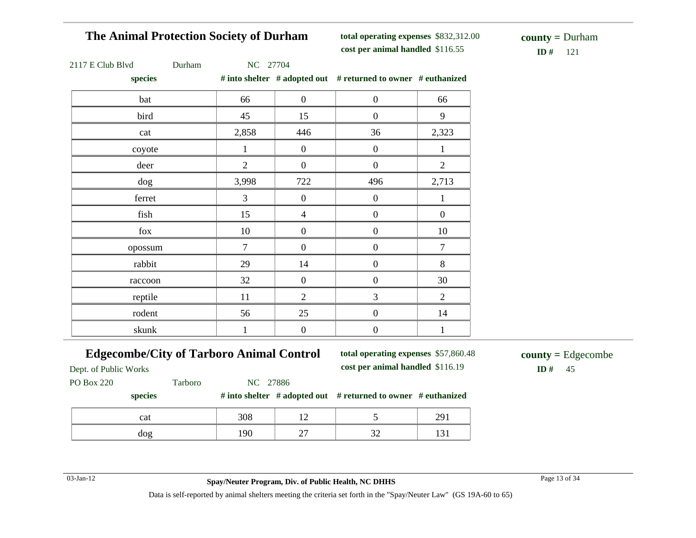### **The Animal Protection Society of Durham**

**total operating expenses** \$832,312.00 **cost per animal handled** \$116.55 **ID #** 121

**county =** Durham

|  | $2117 \text{ E}$ Club Blyd |  |  |
|--|----------------------------|--|--|
|  |                            |  |  |

7 E Club Blvd Durham NC 27704

**species # into shelter # adopted out # returned to owner # euthanized**

| $\mathcal{L}_{\text{PCLL3}}$ |                |                  | $\theta$ mw shence $\theta$ adopted our $\theta$ returned to owner. $\theta$ cumanized |                  |
|------------------------------|----------------|------------------|----------------------------------------------------------------------------------------|------------------|
| bat                          | 66             | $\boldsymbol{0}$ | $\boldsymbol{0}$                                                                       | 66               |
| bird                         | 45             | 15               | $\boldsymbol{0}$                                                                       | 9                |
| cat                          | 2,858          | 446              | 36                                                                                     | 2,323            |
| coyote                       | $\mathbf{1}$   | $\boldsymbol{0}$ | $\overline{0}$                                                                         | $\mathbf{1}$     |
| deer                         | $\overline{2}$ | $\boldsymbol{0}$ | $\boldsymbol{0}$                                                                       | $\overline{2}$   |
| dog                          | 3,998          | 722              | 496                                                                                    | 2,713            |
| ferret                       | 3              | $\boldsymbol{0}$ | $\boldsymbol{0}$                                                                       | $\mathbf{1}$     |
| fish                         | 15             | $\overline{4}$   | $\boldsymbol{0}$                                                                       | $\boldsymbol{0}$ |
| fox                          | 10             | $\boldsymbol{0}$ | $\boldsymbol{0}$                                                                       | 10               |
| opossum                      | $\overline{7}$ | $\boldsymbol{0}$ | $\boldsymbol{0}$                                                                       | $\boldsymbol{7}$ |
| rabbit                       | 29             | 14               | $\boldsymbol{0}$                                                                       | $8\,$            |
| raccoon                      | 32             | $\boldsymbol{0}$ | $\boldsymbol{0}$                                                                       | 30               |
| reptile                      | $11\,$         | $\overline{2}$   | 3                                                                                      | $\overline{2}$   |
| rodent                       | 56             | 25               | $\boldsymbol{0}$                                                                       | 14               |
| skunk                        | $\,1$          | $\boldsymbol{0}$ | $\boldsymbol{0}$                                                                       | $\mathbf{1}$     |

### **Edgecombe/City of Tarboro Animal Control**

**total operating expenses** \$57,860.48 **cost per animal handled** \$116.19 **ID #** 45

**county =** Edgecombe

Dept. of Public Works

PO Box 220 Tarboro NC 27886

#### **species # into shelter # adopted out # returned to owner # euthanized**

| cat | 308 | $\overline{\phantom{a}}$      |             | $\sim$<br>ر سه |
|-----|-----|-------------------------------|-------------|----------------|
| dog | 190 | ∼<br>$\overline{\phantom{0}}$ | $\sim$<br>◡ | . .            |

03-Jan-12 Page 13 of 34 **Spay/Neuter Program, Div. of Public Health, NC DHHS**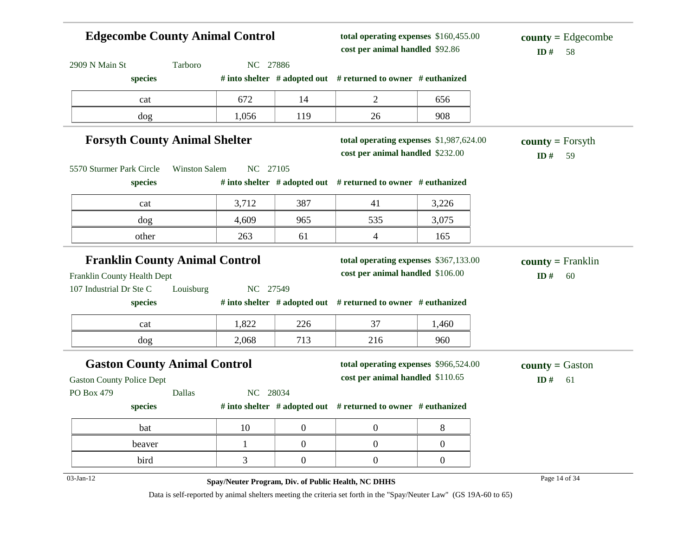| <b>Edgecombe County Animal Control</b>                               |                      |          |                  | total operating expenses \$160,455.00<br>cost per animal handled \$92.86    |                  | $\text{county} = \text{Edgecombe}$<br>ID#<br>58 |  |
|----------------------------------------------------------------------|----------------------|----------|------------------|-----------------------------------------------------------------------------|------------------|-------------------------------------------------|--|
| 2909 N Main St                                                       | Tarboro              | NC 27886 |                  |                                                                             |                  |                                                 |  |
| species                                                              |                      |          |                  | # into shelter $#$ adopted out $#$ returned to owner $#$ euthanized         |                  |                                                 |  |
| cat                                                                  |                      | 672      | 14               | 2                                                                           | 656              |                                                 |  |
| dog                                                                  |                      | 1,056    | 119              | 26                                                                          | 908              |                                                 |  |
| <b>Forsyth County Animal Shelter</b>                                 |                      |          |                  | total operating expenses \$1,987,624.00<br>cost per animal handled \$232.00 |                  | $county = Forsyth$<br>ID#<br>59                 |  |
| 5570 Sturmer Park Circle                                             | <b>Winston Salem</b> | NC 27105 |                  |                                                                             |                  |                                                 |  |
| species                                                              |                      |          |                  | # into shelter # adopted out # returned to owner # euthanized               |                  |                                                 |  |
| cat                                                                  |                      | 3,712    | 387              | 41                                                                          | 3,226            |                                                 |  |
| dog                                                                  |                      | 4,609    | 965              | 535                                                                         | 3,075            |                                                 |  |
| other                                                                |                      | 263      | 61               | 4                                                                           | 165              |                                                 |  |
| <b>Franklin County Animal Control</b><br>Franklin County Health Dept |                      |          |                  | total operating expenses \$367,133.00<br>cost per animal handled \$106.00   |                  | $county = Franklin$<br>ID#<br>60                |  |
| 107 Industrial Dr Ste C                                              | Louisburg            | NC 27549 |                  |                                                                             |                  |                                                 |  |
| species                                                              |                      |          |                  | # into shelter # adopted out # returned to owner # euthanized               |                  |                                                 |  |
| cat                                                                  |                      | 1,822    | 226              | 37                                                                          | 1,460            |                                                 |  |
| dog                                                                  |                      | 2,068    | 713              | 216                                                                         | 960              |                                                 |  |
| <b>Gaston County Animal Control</b>                                  |                      |          |                  | total operating expenses \$966,524.00                                       |                  | <b>county</b> = Gaston                          |  |
| <b>Gaston County Police Dept</b>                                     |                      |          |                  | cost per animal handled \$110.65                                            |                  | ID#<br>61                                       |  |
| PO Box 479                                                           | Dallas               | NC 28034 |                  |                                                                             |                  |                                                 |  |
| species                                                              |                      |          |                  | # into shelter $#$ adopted out $#$ returned to owner $#$ euthanized         |                  |                                                 |  |
| bat                                                                  |                      | 10       | $\boldsymbol{0}$ | $\boldsymbol{0}$                                                            | $8\,$            |                                                 |  |
| beaver                                                               |                      | 1        | $\boldsymbol{0}$ | $\boldsymbol{0}$                                                            | $\boldsymbol{0}$ |                                                 |  |
| bird                                                                 |                      | 3        | $\boldsymbol{0}$ | $\boldsymbol{0}$                                                            | $\boldsymbol{0}$ |                                                 |  |
| $03-Jan-12$                                                          |                      |          |                  | Spay/Neuter Program, Div. of Public Health, NC DHHS                         |                  | Page 14 of 34                                   |  |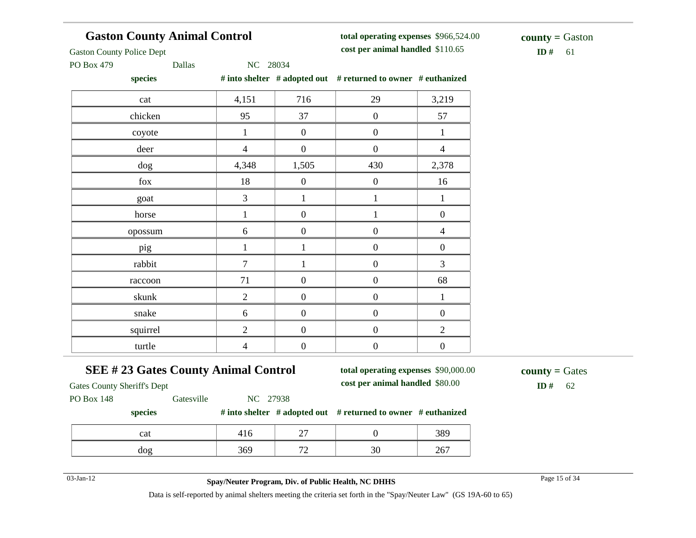## **Gaston County Animal Control**

**total operating expenses** \$966,524.00 **cost per animal handled**

 $ID# 61$ **county =** Gaston

Gaston County Police Dept

PO Box 479 Dallas NC 28034

| species  |                |                  | # into shelter $#$ adopted out $#$ returned to owner $#$ euthanized |                  |
|----------|----------------|------------------|---------------------------------------------------------------------|------------------|
| cat      | 4,151          | 716              | 29                                                                  | 3,219            |
| chicken  | 95             | 37               | $\boldsymbol{0}$                                                    | 57               |
| coyote   | $\mathbf{1}$   | $\boldsymbol{0}$ | $\boldsymbol{0}$                                                    | $\mathbf{1}$     |
| deer     | $\overline{4}$ | $\boldsymbol{0}$ | $\boldsymbol{0}$                                                    | $\overline{4}$   |
| dog      | 4,348          | 1,505            | 430                                                                 | 2,378            |
| fox      | 18             | $\mathbf{0}$     | $\boldsymbol{0}$                                                    | 16               |
| goat     | 3              | $\mathbf{1}$     | $\mathbf{1}$                                                        | $\mathbf{1}$     |
| horse    | $\mathbf{1}$   | $\boldsymbol{0}$ | $\mathbf{1}$                                                        | $\boldsymbol{0}$ |
| opossum  | 6              | $\boldsymbol{0}$ | $\boldsymbol{0}$                                                    | $\overline{4}$   |
| pig      | 1              |                  | $\boldsymbol{0}$                                                    | $\boldsymbol{0}$ |
| rabbit   | $\tau$         |                  | $\boldsymbol{0}$                                                    | $\mathfrak{Z}$   |
| raccoon  | 71             | $\boldsymbol{0}$ | $\boldsymbol{0}$                                                    | 68               |
| skunk    | $\overline{2}$ | $\boldsymbol{0}$ | $\boldsymbol{0}$                                                    | $\mathbf{1}$     |
| snake    | 6              | $\boldsymbol{0}$ | $\boldsymbol{0}$                                                    | $\boldsymbol{0}$ |
| squirrel | $\overline{2}$ | $\boldsymbol{0}$ | $\boldsymbol{0}$                                                    | $\overline{2}$   |
| turtle   | $\overline{4}$ | $\boldsymbol{0}$ | $\boldsymbol{0}$                                                    | $\boldsymbol{0}$ |

## **SEE # 23 Gates County Animal Control**

**total operating expenses** \$90,000.00 **cost per animal handled** \$80.00 **ID #** 62

**county =** Gates

Gates County Sheriff's Dept

PO Box 148 Gatesville NC 27938

**species # into shelter # adopted out # returned to owner # euthanized**

| cat | -c  | $\sim$ $\sim$                 |        | ີ                    |
|-----|-----|-------------------------------|--------|----------------------|
| dog | 369 | $\overline{\phantom{a}}$<br>- | $\sim$ | $\sim$ $-$<br>$\sim$ |

03-Jan-12 Page 15 of 34 **Spay/Neuter Program, Div. of Public Health, NC DHHS**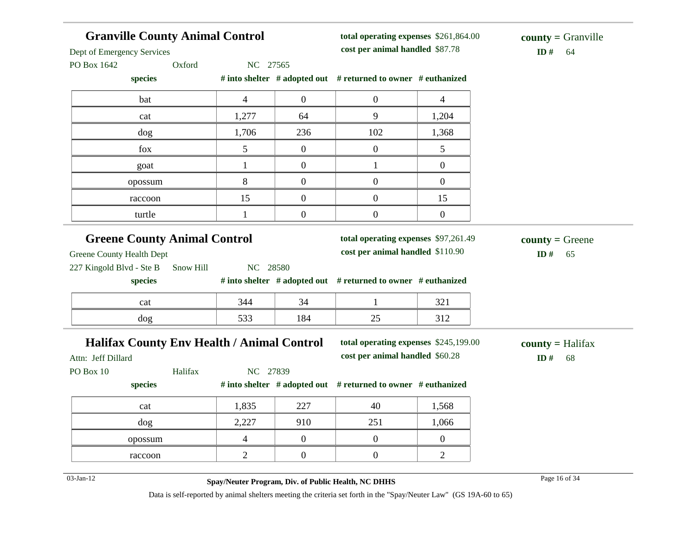| <b>Granville County Animal Control</b><br>Dept of Emergency Services |                                                     |                  | total operating expenses \$261,864.00<br>cost per animal handled \$87.78 |                  | $county = Granville$<br>ID#<br>64      |
|----------------------------------------------------------------------|-----------------------------------------------------|------------------|--------------------------------------------------------------------------|------------------|----------------------------------------|
| Oxford<br>PO Box 1642                                                | NC 27565                                            |                  |                                                                          |                  |                                        |
| species                                                              |                                                     |                  | # into shelter # adopted out # returned to owner # euthanized            |                  |                                        |
| bat                                                                  | $\overline{4}$                                      | $\boldsymbol{0}$ | $\boldsymbol{0}$                                                         | $\overline{4}$   |                                        |
| cat                                                                  | 1,277                                               | 64               | 9                                                                        | 1,204            |                                        |
| dog                                                                  | 1,706                                               | 236              | 102                                                                      | 1,368            |                                        |
| fox                                                                  | 5                                                   | $\overline{0}$   | $\boldsymbol{0}$                                                         | 5                |                                        |
| goat                                                                 | $\mathbf{1}$                                        | $\overline{0}$   | $\mathbf{1}$                                                             | $\boldsymbol{0}$ |                                        |
| opossum                                                              | 8                                                   | $\boldsymbol{0}$ | $\boldsymbol{0}$                                                         | $\boldsymbol{0}$ |                                        |
| raccoon                                                              | 15                                                  | $\boldsymbol{0}$ | $\overline{0}$                                                           | 15               |                                        |
| turtle                                                               | $\mathbf{1}$                                        | $\overline{0}$   | $\boldsymbol{0}$                                                         | $\boldsymbol{0}$ |                                        |
| 227 Kingold Blvd - Ste B<br>Snow Hill<br>species                     | NC 28580                                            |                  | # into shelter # adopted out # returned to owner # euthanized            |                  |                                        |
| cat                                                                  | 344                                                 | 34               | $\mathbf{1}$                                                             | 321              |                                        |
| dog                                                                  | 533                                                 | 184              | 25                                                                       | 312              |                                        |
| Halifax County Env Health / Animal Control<br>Attn: Jeff Dillard     |                                                     |                  | total operating expenses \$245,199.00<br>cost per animal handled \$60.28 |                  | $county = \text{Halifax}$<br>ID#<br>68 |
| Halifax<br>PO Box 10                                                 | NC 27839                                            |                  |                                                                          |                  |                                        |
| species                                                              |                                                     |                  | # into shelter # adopted out # returned to owner # euthanized            |                  |                                        |
| cat                                                                  | 1,835                                               | 227              | 40                                                                       | 1,568            |                                        |
| dog                                                                  | 2,227                                               | 910              | 251                                                                      | 1,066            |                                        |
| opossum                                                              | 4                                                   | $\overline{0}$   | $\boldsymbol{0}$                                                         | $\mathbf{0}$     |                                        |
| raccoon                                                              | $\overline{2}$                                      | $\overline{0}$   | $\boldsymbol{0}$                                                         | $\overline{2}$   |                                        |
| 03-Jan-12                                                            | Spay/Neuter Program, Div. of Public Health, NC DHHS |                  |                                                                          |                  | Page 16 of 34                          |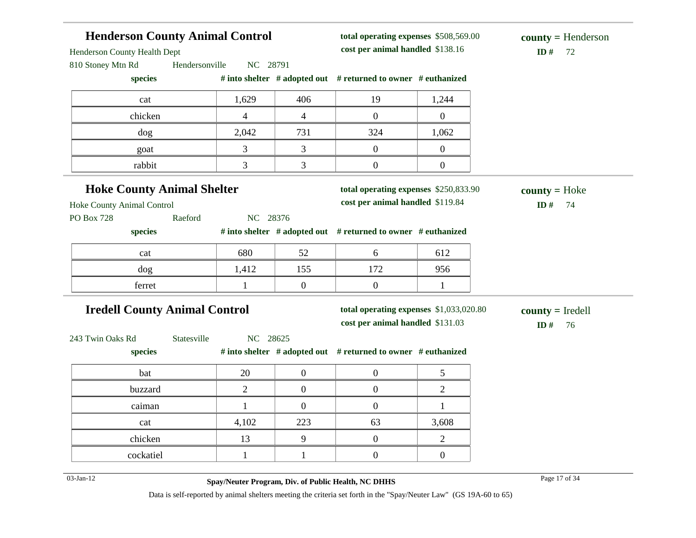| Henderson County Health Dept         |                |                  | cost per animal handled \$138.16                                    |                  | ID#<br>72          |
|--------------------------------------|----------------|------------------|---------------------------------------------------------------------|------------------|--------------------|
| 810 Stoney Mtn Rd<br>Hendersonville  | NC 28791       |                  |                                                                     |                  |                    |
| species                              |                |                  | # into shelter $#$ adopted out $#$ returned to owner $#$ euthanized |                  |                    |
| cat                                  | 1,629          | 406              | 19                                                                  | 1,244            |                    |
| chicken                              | 4              | 4                | $\mathbf{0}$                                                        | $\overline{0}$   |                    |
| dog                                  | 2,042          | 731              | 324                                                                 | 1,062            |                    |
| goat                                 | 3              | 3                | $\boldsymbol{0}$                                                    | $\boldsymbol{0}$ |                    |
| rabbit                               | 3              | 3                | $\boldsymbol{0}$                                                    | $\boldsymbol{0}$ |                    |
| <b>Hoke County Animal Shelter</b>    |                |                  | total operating expenses \$250,833.90                               |                  | $county = Hoke$    |
| Hoke County Animal Control           |                |                  | cost per animal handled \$119.84                                    |                  | ID#<br>74          |
| Raeford<br><b>PO Box 728</b>         | NC 28376       |                  |                                                                     |                  |                    |
| species                              |                |                  | # into shelter # adopted out # returned to owner # euthanized       |                  |                    |
| cat                                  | 680            | 52               | 6                                                                   | 612              |                    |
| dog                                  | 1,412          | 155              | 172                                                                 | 956              |                    |
| ferret                               | 1              | $\boldsymbol{0}$ | $\boldsymbol{0}$                                                    | $\mathbf{1}$     |                    |
| <b>Iredell County Animal Control</b> |                |                  | total operating expenses \$1,033,020.80                             |                  | $county = Iredell$ |
|                                      |                |                  | cost per animal handled \$131.03                                    |                  | ID $#$<br>76       |
| Statesville<br>243 Twin Oaks Rd      | NC 28625       |                  |                                                                     |                  |                    |
| species                              |                |                  | # into shelter # adopted out # returned to owner # euthanized       |                  |                    |
| bat                                  | 20             | $\boldsymbol{0}$ | $\boldsymbol{0}$                                                    | 5                |                    |
| buzzard                              | $\overline{2}$ | $\overline{0}$   | $\boldsymbol{0}$                                                    | $\overline{2}$   |                    |
| caiman                               | $\mathbf{1}$   | $\overline{0}$   | $\boldsymbol{0}$                                                    | $\mathbf{1}$     |                    |
| cat                                  | 4,102          | 223              | 63                                                                  | 3,608            |                    |
| chicken                              | 13             | 9                | $\boldsymbol{0}$                                                    | $\mathbf{2}$     |                    |
|                                      |                |                  |                                                                     |                  |                    |

**total operating expenses** \$508,569.00

**Henderson County Animal Control**

03-Jan-12 Page 17 of 34 **Spay/Neuter Program, Div. of Public Health, NC DHHS**

**county =** Henderson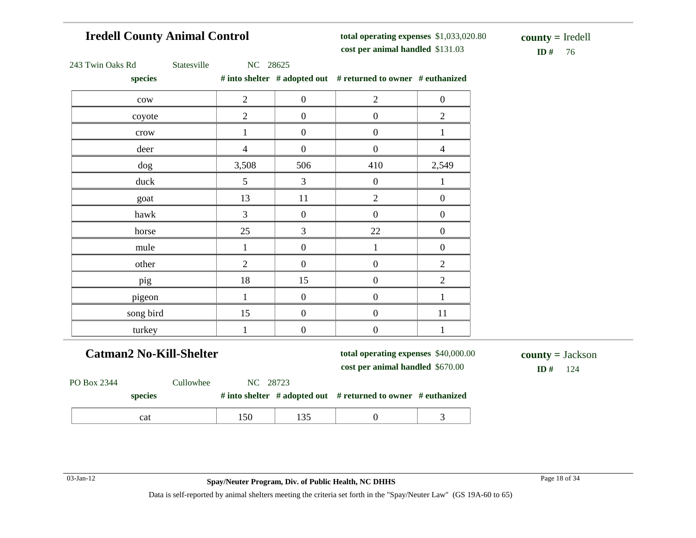## **Iredell County Animal Control**

**total operating expenses** \$1,033,020.80 **cost per animal handled**

**ID #** 76 **county =** Iredell

|  | 243 Twin Oaks Rd |  |  |  |
|--|------------------|--|--|--|
|--|------------------|--|--|--|

Statesville NC 28625

**species # into shelter # adopted out # returned to owner # euthanized**

| species         |                 |                  | $#$ muo shener $#$ adopted out $#$ returned to owner $#$ euthanized |                  |
|-----------------|-----------------|------------------|---------------------------------------------------------------------|------------------|
| ${\rm\bf conv}$ | $\overline{2}$  | $\boldsymbol{0}$ | $\overline{2}$                                                      | $\boldsymbol{0}$ |
| coyote          | $\overline{2}$  | $\boldsymbol{0}$ | $\boldsymbol{0}$                                                    | $\mathfrak{2}$   |
| $\mbox{crow}$   |                 | $\boldsymbol{0}$ | $\boldsymbol{0}$                                                    | 1                |
| deer            | $\overline{4}$  | $\overline{0}$   | $\boldsymbol{0}$                                                    | $\overline{4}$   |
| dog             | 3,508           | 506              | 410                                                                 | 2,549            |
| duck            | $5\overline{)}$ | 3                | $\boldsymbol{0}$                                                    | 1                |
| goat            | 13              | $11\,$           | $\overline{2}$                                                      | $\boldsymbol{0}$ |
| hawk            | 3               | $\boldsymbol{0}$ | $\boldsymbol{0}$                                                    | $\boldsymbol{0}$ |
| horse           | 25              | $\overline{3}$   | 22                                                                  | $\boldsymbol{0}$ |
| mule            |                 | $\boldsymbol{0}$ | 1                                                                   | $\boldsymbol{0}$ |
| other           | $\overline{2}$  | $\boldsymbol{0}$ | $\boldsymbol{0}$                                                    | $\overline{2}$   |
| pig             | 18              | 15               | $\boldsymbol{0}$                                                    | $\mathbf{2}$     |
| pigeon          | $\mathbf 1$     | $\boldsymbol{0}$ | $\boldsymbol{0}$                                                    | $\mathbf{1}$     |
| song bird       | 15              | $\boldsymbol{0}$ | $\boldsymbol{0}$                                                    | $11\,$           |
| turkey          | 1               | $\boldsymbol{0}$ | $\boldsymbol{0}$                                                    | $\mathbf{1}$     |

**Catman2 No-Kill-Shelter**

**total operating expenses** \$40,000.00 **cost per animal handled** \$670.00 **ID #** 124

**county =** Jackson

| PO Box 2344 |         | Cullowhee | NC 28723 |     |                                                                        |  |
|-------------|---------|-----------|----------|-----|------------------------------------------------------------------------|--|
|             | species |           |          |     | # into shelter $\#$ adopted out $\#$ returned to owner $\#$ euthanized |  |
|             | cat     |           | 150      | 135 |                                                                        |  |

03-Jan-12 Page 18 of 34 **Spay/Neuter Program, Div. of Public Health, NC DHHS**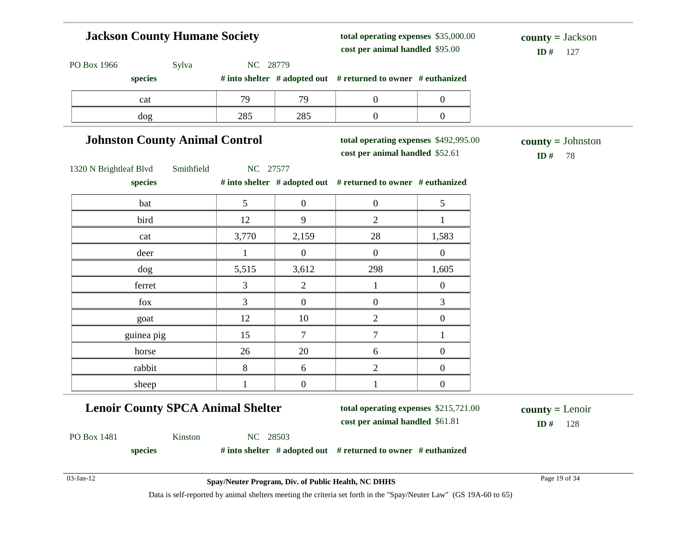### **Jackson County Humane Society** PO Box 1966 Sylva NC 28779 **species # into shelter # adopted out # returned to owner # euthanized total operating expenses** \$35,000.00 **cost per animal handled**  $ID# 127$ **county =** Jackson cat 1 79 79 0 0 dog 285 285 0 0

### **Johnston County Animal Control**

**total operating expenses** \$492,995.00

**cost per animal handled**

**ID #** 78 **county =** Johnston

1320 N Brightleaf Blvd Smithfield NC 27577

| bat        | 5     | $\overline{0}$   | $\overline{0}$   | 5                |
|------------|-------|------------------|------------------|------------------|
| bird       | 12    | 9                | $\overline{2}$   |                  |
| cat        | 3,770 | 2,159            | 28               | 1,583            |
| deer       |       | $\Omega$         | $\boldsymbol{0}$ | $\theta$         |
| dog        | 5,515 | 3,612            | 298              | 1,605            |
| ferret     | 3     | $\overline{2}$   |                  | $\boldsymbol{0}$ |
| fox        | 3     | $\theta$         | $\boldsymbol{0}$ | 3                |
| goat       | 12    | $10\,$           | $\overline{2}$   | $\mathbf{0}$     |
| guinea pig | 15    | 7                | 7                |                  |
| horse      | 26    | 20               | 6                | $\overline{0}$   |
| rabbit     | $8\,$ | 6                | $\overline{2}$   | $\mathbf{0}$     |
| sheep      |       | $\boldsymbol{0}$ |                  | $\overline{0}$   |

**species # into shelter # adopted out # returned to owner # euthanized**

## **Lenoir County SPCA Animal Shelter**

**total operating expenses** \$215,721.00

**cost per animal handled** \$61.81 **ID #** 128 **county =** Lenoir

PO Box 1481 Kinston NC 28503

**species # into shelter # adopted out # returned to owner # euthanized**

03-Jan-12 Page 19 of 34 **Spay/Neuter Program, Div. of Public Health, NC DHHS**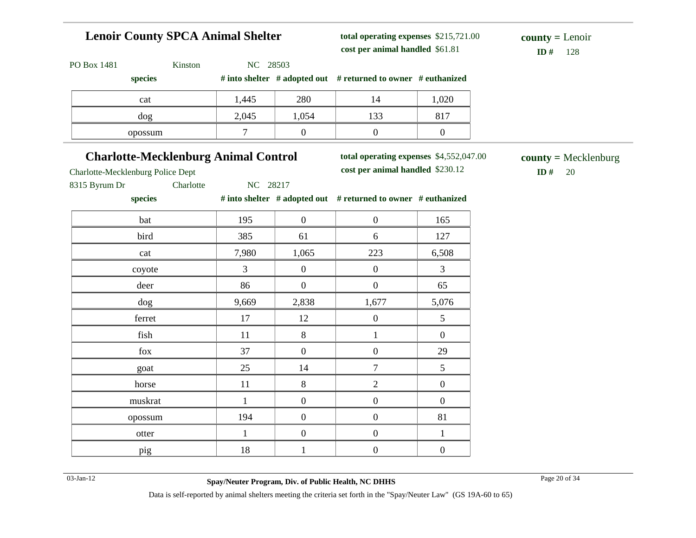## **Lenoir County SPCA Animal Shelter**

**total operating expenses** \$215,721.00 **cost per animal handled**

 $ID# 128$ **county =** Lenoir

| PO Box 1481 |  |
|-------------|--|
|             |  |

Kinston NC 28503

| # into shelter $\#$ adopted out $\#$ returned to owner $\#$ euthanized<br>species |  |
|-----------------------------------------------------------------------------------|--|
|-----------------------------------------------------------------------------------|--|

| cat     | 1,445 | 280   |                 | 1,020        |
|---------|-------|-------|-----------------|--------------|
| dog     | 2,045 | 1,054 | $1 \cap$<br>199 | Q17<br>0 L J |
| opossum | −     |       |                 |              |

## **Charlotte-Mecklenburg Animal Control**

**total operating expenses** \$4,552,047.00

**cost per animal handled** \$230.12 **ID #** 20 **county =** Mecklenburg

Charlotte-Mecklenburg Police Dept

8315 Byrum Dr Charlotte NC 28217

| species |              |                  | # into shelter $\#$ adopted out $\#$ returned to owner $\#$ euthanized |                  |
|---------|--------------|------------------|------------------------------------------------------------------------|------------------|
| bat     | 195          | $\boldsymbol{0}$ | $\boldsymbol{0}$                                                       | 165              |
| bird    | 385          | 61               | 6                                                                      | 127              |
| cat     | 7,980        | 1,065            | 223                                                                    | 6,508            |
| coyote  | 3            | $\boldsymbol{0}$ | $\boldsymbol{0}$                                                       | 3                |
| deer    | 86           | $\boldsymbol{0}$ | $\boldsymbol{0}$                                                       | 65               |
| dog     | 9,669        | 2,838            | 1,677                                                                  | 5,076            |
| ferret  | 17           | 12               | $\boldsymbol{0}$                                                       | $\mathfrak s$    |
| fish    | 11           | 8                | 1                                                                      | $\boldsymbol{0}$ |
| fox     | 37           | $\boldsymbol{0}$ | $\boldsymbol{0}$                                                       | 29               |
| goat    | 25           | 14               | 7                                                                      | 5                |
| horse   | 11           | 8                | $\overline{2}$                                                         | $\boldsymbol{0}$ |
| muskrat | $\mathbf{1}$ | $\mathbf{0}$     | $\boldsymbol{0}$                                                       | $\mathbf{0}$     |
| opossum | 194          | $\boldsymbol{0}$ | $\boldsymbol{0}$                                                       | 81               |
| otter   | $\mathbf{1}$ | $\boldsymbol{0}$ | $\boldsymbol{0}$                                                       | $\mathbf{1}$     |

pig 18 1 0 0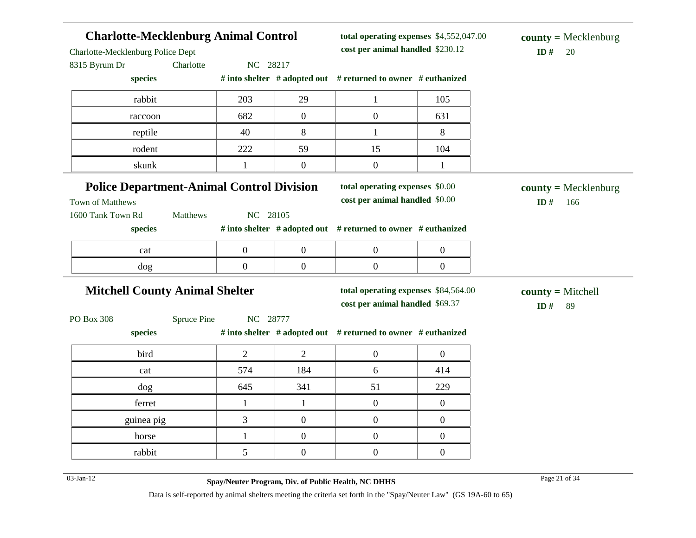| <b>Charlotte-Mecklenburg Animal Control</b>                                               |             |                  |                  | total operating expenses \$4,552,047.00                                 |                  | $county = Mecklenburg$               |  |  |
|-------------------------------------------------------------------------------------------|-------------|------------------|------------------|-------------------------------------------------------------------------|------------------|--------------------------------------|--|--|
| Charlotte-Mecklenburg Police Dept                                                         |             |                  |                  | cost per animal handled \$230.12                                        |                  | ID#<br>20                            |  |  |
| 8315 Byrum Dr<br>species                                                                  | Charlotte   | NC 28217         |                  | # into shelter # adopted out # returned to owner # euthanized           |                  |                                      |  |  |
| rabbit                                                                                    |             | 203              | 29               | $\mathbf{1}$                                                            | 105              |                                      |  |  |
| raccoon                                                                                   |             | 682              | $\boldsymbol{0}$ | $\boldsymbol{0}$                                                        | 631              |                                      |  |  |
| reptile                                                                                   |             | 40               | 8                | $\mathbf{1}$                                                            | 8                |                                      |  |  |
| rodent                                                                                    |             | 222              | 59               | 15                                                                      | 104              |                                      |  |  |
| skunk                                                                                     |             | 1                | $\boldsymbol{0}$ | $\boldsymbol{0}$                                                        | $\mathbf{1}$     |                                      |  |  |
| <b>Police Department-Animal Control Division</b><br>Town of Matthews<br>1600 Tank Town Rd | Matthews    | NC 28105         |                  | total operating expenses \$0.00<br>cost per animal handled \$0.00       |                  | $county = Mecklenburg$<br>ID#<br>166 |  |  |
| species                                                                                   |             |                  |                  | # into shelter # adopted out # returned to owner # euthanized           |                  |                                      |  |  |
| cat                                                                                       |             | $\boldsymbol{0}$ | $\boldsymbol{0}$ | $\boldsymbol{0}$                                                        | $\boldsymbol{0}$ |                                      |  |  |
| dog                                                                                       |             | $\overline{0}$   | $\boldsymbol{0}$ | $\overline{0}$                                                          | $\boldsymbol{0}$ |                                      |  |  |
| <b>Mitchell County Animal Shelter</b>                                                     |             |                  |                  | total operating expenses \$84,564.00<br>cost per animal handled \$69.37 |                  | $county = Mitchell$<br>ID#<br>89     |  |  |
| PO Box 308                                                                                | Spruce Pine | NC 28777         |                  |                                                                         |                  |                                      |  |  |
| species                                                                                   |             |                  |                  | # into shelter # adopted out # returned to owner # euthanized           |                  |                                      |  |  |
| bird                                                                                      |             | $\overline{2}$   | $\overline{2}$   | $\boldsymbol{0}$                                                        | $\overline{0}$   |                                      |  |  |
| cat                                                                                       |             | 574              | 184              | 6                                                                       | 414              |                                      |  |  |
| dog                                                                                       |             | 645              | 341              | 51                                                                      | 229              |                                      |  |  |
| ferret                                                                                    |             | 1                | $\mathbf{1}$     | $\overline{0}$                                                          | $\mathbf{0}$     |                                      |  |  |
| guinea pig                                                                                |             | 3                | $\boldsymbol{0}$ | $\boldsymbol{0}$                                                        | $\boldsymbol{0}$ |                                      |  |  |
| horse                                                                                     |             | $\mathbf{1}$     | $\boldsymbol{0}$ | $\boldsymbol{0}$                                                        | $\boldsymbol{0}$ |                                      |  |  |
| rabbit                                                                                    |             | 5                | $\boldsymbol{0}$ | $\boldsymbol{0}$                                                        | $\boldsymbol{0}$ |                                      |  |  |
| 03-Jan-12                                                                                 |             |                  |                  | Spay/Neuter Program, Div. of Public Health, NC DHHS                     |                  | Page 21 of 34                        |  |  |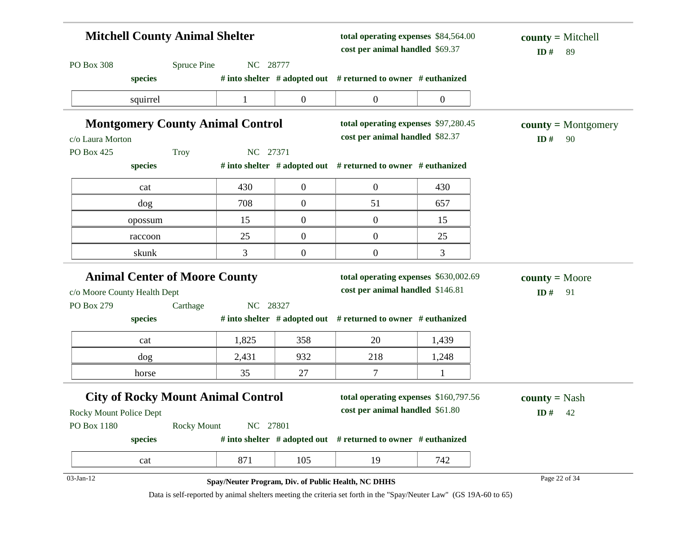| <b>Mitchell County Animal Shelter</b> |                                           |              | total operating expenses \$84,564.00<br>cost per animal handled \$69.37 |                                                                     | $county = Mitchell$<br>ID#<br>89 |                       |  |
|---------------------------------------|-------------------------------------------|--------------|-------------------------------------------------------------------------|---------------------------------------------------------------------|----------------------------------|-----------------------|--|
| PO Box 308                            | <b>Spruce Pine</b>                        | NC 28777     |                                                                         |                                                                     |                                  |                       |  |
|                                       | species                                   |              |                                                                         | # into shelter # adopted out # returned to owner # euthanized       |                                  |                       |  |
|                                       | squirrel                                  | $\mathbf{1}$ | $\overline{0}$                                                          | $\boldsymbol{0}$                                                    | $\overline{0}$                   |                       |  |
|                                       | <b>Montgomery County Animal Control</b>   |              |                                                                         | total operating expenses \$97,280.45                                |                                  | $county = Montgomery$ |  |
| c/o Laura Morton                      |                                           |              |                                                                         | cost per animal handled \$82.37                                     |                                  | ID#<br>90             |  |
| PO Box 425                            | <b>Troy</b>                               | NC 27371     |                                                                         |                                                                     |                                  |                       |  |
|                                       | species                                   |              |                                                                         | # into shelter $#$ adopted out $#$ returned to owner $#$ euthanized |                                  |                       |  |
|                                       | cat                                       | 430          | $\overline{0}$                                                          | $\mathbf{0}$                                                        | 430                              |                       |  |
|                                       | dog                                       | 708          | $\overline{0}$                                                          | 51                                                                  | 657                              |                       |  |
|                                       | opossum                                   | 15           | $\overline{0}$                                                          | $\boldsymbol{0}$                                                    | 15                               |                       |  |
|                                       | raccoon                                   | 25           | $\overline{0}$                                                          | $\boldsymbol{0}$                                                    | 25                               |                       |  |
|                                       | skunk                                     | 3            | $\boldsymbol{0}$                                                        | $\boldsymbol{0}$                                                    | $\mathfrak{Z}$                   |                       |  |
|                                       | <b>Animal Center of Moore County</b>      |              |                                                                         | total operating expenses \$630,002.69                               |                                  | $county = Moore$      |  |
| c/o Moore County Health Dept          |                                           |              |                                                                         | cost per animal handled \$146.81                                    |                                  | ID#<br>91             |  |
| PO Box 279                            | Carthage                                  | NC 28327     |                                                                         |                                                                     |                                  |                       |  |
|                                       | species                                   |              |                                                                         | # into shelter $#$ adopted out $#$ returned to owner $#$ euthanized |                                  |                       |  |
|                                       | cat                                       | 1,825        | 358                                                                     | 20                                                                  | 1,439                            |                       |  |
|                                       | dog                                       | 2,431        | 932                                                                     | 218                                                                 | 1,248                            |                       |  |
|                                       | horse                                     | 35           | 27                                                                      | $\overline{7}$                                                      | $\mathbf{1}$                     |                       |  |
|                                       | <b>City of Rocky Mount Animal Control</b> |              |                                                                         | total operating expenses \$160,797.56                               |                                  | <b>county</b> = Nash  |  |
| <b>Rocky Mount Police Dept</b>        |                                           |              |                                                                         | cost per animal handled \$61.80                                     |                                  | ID#<br>42             |  |
| PO Box 1180                           | <b>Rocky Mount</b>                        | NC 27801     |                                                                         |                                                                     |                                  |                       |  |
|                                       | species                                   |              |                                                                         | # into shelter # adopted out # returned to owner # euthanized       |                                  |                       |  |
|                                       | cat                                       | 871          | 105                                                                     | 19                                                                  | 742                              |                       |  |
| 03-Jan-12                             |                                           |              |                                                                         | Spay/Neuter Program, Div. of Public Health, NC DHHS                 |                                  | Page 22 of 34         |  |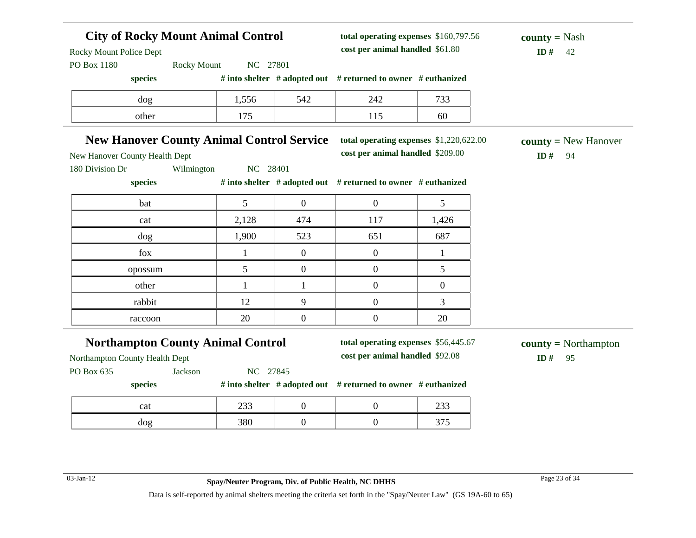### **City of Rocky Mount Animal Control** Rocky Mount Police Dept PO Box 1180 Rocky Mount NC 27801 **species # into shelter # adopted out # returned to owner # euthanized total operating expenses** \$160,797.56 **cost per animal handled**  $$ **county =** Nash dog 1,556 542 242 733 other 175 115 60 **New Hanover County Animal Control Service** New Hanover County Health Dept 180 Division Dr Wilmington NC 28401 **species # into shelter # adopted out # returned to owner # euthanized total operating expenses** \$1,220,622.00 **cost per animal handled** \$209.00 **ID #** 94 **county =** New Hanover bat  $\begin{array}{|c|c|c|c|c|c|} \hline \text{5} & \text{0} & \text{0} & \text{5} \end{array}$ cat 2,128 474 117 1,426 dog 1,900 523 651 687 fox  $1 \t 0 \t 0 \t 1$ opossum 5 0 0 5 other  $1 \t 1 \t 1 \t 0 \t 0$ rabbit 12 9 0 3 raccoon  $20$  0 0 20 **Northampton County Animal Control** Northampton County Health Dept PO Box 635 Jackson NC 27845 **species # into shelter # adopted out # returned to owner # euthanized total operating expenses** \$56,445.67 **cost per animal handled** \$92.08 **ID #** 95 **county =** Northampton cat 233 0 0 233 dog 380 0 0 375 03-Jan-12 Page 23 of 34 **Spay/Neuter Program, Div. of Public Health, NC DHHS**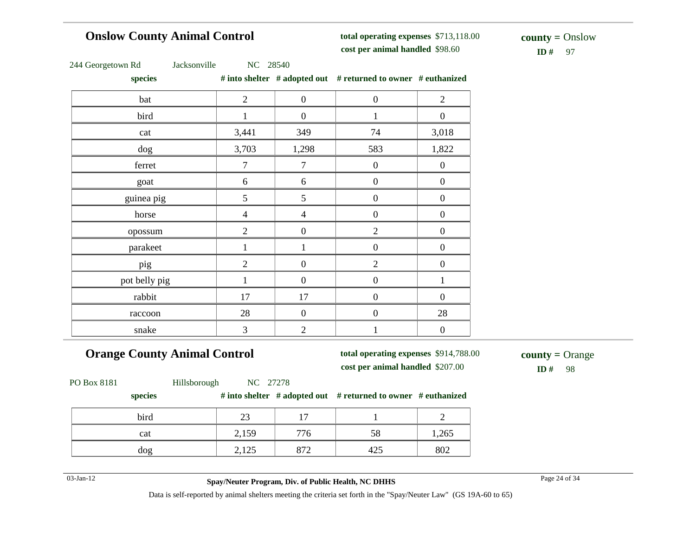### **Onslow County Animal Control**

**total operating expenses** \$713,118.00 **cost per animal handled**

 $ID#$  97 **county =** Onslow

|  | 244 Georgetown Rd |  |
|--|-------------------|--|
|--|-------------------|--|

Jacksonville NC 28540

| species       |                |                  | # into shelter # adopted out # returned to owner # euthanized |                  |
|---------------|----------------|------------------|---------------------------------------------------------------|------------------|
| bat           | $\overline{2}$ | $\boldsymbol{0}$ | $\boldsymbol{0}$                                              | $\overline{2}$   |
| bird          |                | $\boldsymbol{0}$ | 1                                                             | $\boldsymbol{0}$ |
| cat           | 3,441          | 349              | 74                                                            | 3,018            |
| dog           | 3,703          | 1,298            | 583                                                           | 1,822            |
| ferret        | $\tau$         | $\tau$           | $\boldsymbol{0}$                                              | $\boldsymbol{0}$ |
| goat          | 6              | 6                | $\overline{0}$                                                | $\boldsymbol{0}$ |
| guinea pig    | 5              | $\mathfrak{S}$   | $\boldsymbol{0}$                                              | $\boldsymbol{0}$ |
| horse         | $\overline{4}$ | $\overline{4}$   | $\boldsymbol{0}$                                              | $\boldsymbol{0}$ |
| opossum       | $\overline{2}$ | $\boldsymbol{0}$ | $\overline{2}$                                                | $\boldsymbol{0}$ |
| parakeet      |                | 1                | $\boldsymbol{0}$                                              | $\boldsymbol{0}$ |
| pig           | $\mathfrak{2}$ | $\boldsymbol{0}$ | $\overline{2}$                                                | $\boldsymbol{0}$ |
| pot belly pig |                | $\boldsymbol{0}$ | $\boldsymbol{0}$                                              | 1                |
| rabbit        | 17             | 17               | $\boldsymbol{0}$                                              | $\boldsymbol{0}$ |
| raccoon       | 28             | $\mathbf{0}$     | $\boldsymbol{0}$                                              | 28               |
| snake         | 3              | $\overline{2}$   | $\mathbf{1}$                                                  | $\boldsymbol{0}$ |

**Orange County Animal Control**

**total operating expenses** \$914,788.00 **cost per animal handled** \$207.00 **ID #** 98

**county =** Orange

PO Box 8181 Hillsborough NC 27278

### **species # into shelter # adopted out # returned to owner # euthanized**

| bird | $\sim$<br>ت سک      | $\overline{ }$ |     |       |
|------|---------------------|----------------|-----|-------|
| cat  | 2,159               | 776            | 58  | 1,265 |
| dog  | $1 \cap F$<br>2,12J | 872            | 423 | 802   |

03-Jan-12 Page 24 of 34 **Spay/Neuter Program, Div. of Public Health, NC DHHS**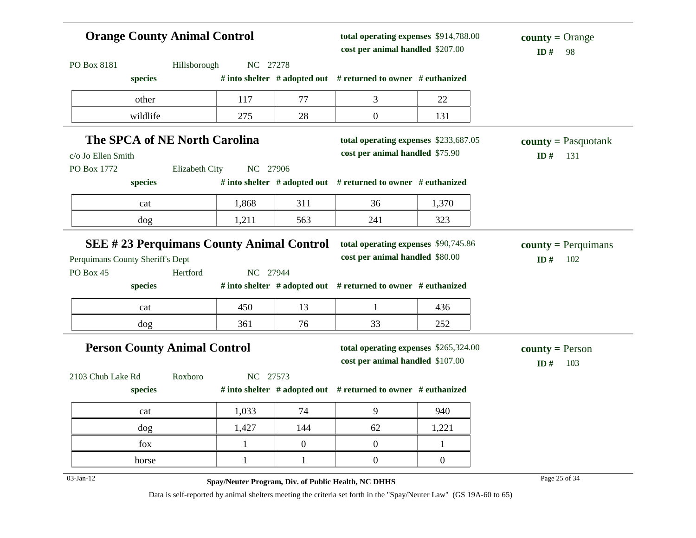| <b>Orange County Animal Control</b>             |                |              |              | total operating expenses \$914,788.00<br>cost per animal handled \$207.00 |                  | $county = Orange$<br>ID#<br>98 |  |
|-------------------------------------------------|----------------|--------------|--------------|---------------------------------------------------------------------------|------------------|--------------------------------|--|
| PO Box 8181                                     | Hillsborough   | NC 27278     |              |                                                                           |                  |                                |  |
| species                                         |                |              |              | # into shelter # adopted out # returned to owner # euthanized             |                  |                                |  |
| other                                           |                | 117          | 77           | 3                                                                         | 22               |                                |  |
| wildlife                                        |                | 275          | 28           | $\boldsymbol{0}$                                                          | 131              |                                |  |
| <b>The SPCA of NE North Carolina</b>            |                |              |              | total operating expenses \$233,687.05                                     |                  | $county = Pasquotank$          |  |
| c/o Jo Ellen Smith                              |                |              |              | cost per animal handled \$75.90                                           |                  | ID#<br>131                     |  |
| PO Box 1772                                     | Elizabeth City | NC 27906     |              |                                                                           |                  |                                |  |
| species                                         |                |              |              | # into shelter # adopted out # returned to owner # euthanized             |                  |                                |  |
| cat                                             |                | 1,868        | 311          | 36                                                                        | 1,370            |                                |  |
| dog                                             |                | 1,211        | 563          | 241                                                                       | 323              |                                |  |
| <b>SEE #23 Perquimans County Animal Control</b> |                |              |              | total operating expenses \$90,745.86                                      |                  | $county = Perquimans$          |  |
| Perquimans County Sheriff's Dept                |                |              |              | cost per animal handled \$80.00                                           |                  | ID#<br>102                     |  |
| PO Box 45                                       | Hertford       | NC 27944     |              |                                                                           |                  |                                |  |
| species                                         |                |              |              | # into shelter # adopted out # returned to owner # euthanized             |                  |                                |  |
| cat                                             |                | 450          | 13           | 1                                                                         | 436              |                                |  |
| dog                                             |                | 361          | 76           | 33                                                                        | 252              |                                |  |
| <b>Person County Animal Control</b>             |                |              |              | total operating expenses \$265,324.00                                     |                  | <b>county</b> = Person         |  |
|                                                 |                |              |              | cost per animal handled \$107.00                                          |                  | ID#<br>103                     |  |
| 2103 Chub Lake Rd<br>species                    | Roxboro        | NC 27573     |              | # into shelter # adopted out # returned to owner # euthanized             |                  |                                |  |
| cat                                             |                | 1,033        | 74           | 9                                                                         | 940              |                                |  |
| dog                                             |                | 1,427        | 144          | 62                                                                        | 1,221            |                                |  |
| fox                                             |                | $\mathbf{1}$ | $\mathbf{0}$ | $\boldsymbol{0}$                                                          | $\mathbf{1}$     |                                |  |
| horse                                           |                | 1            | $\mathbf{1}$ | $\boldsymbol{0}$                                                          | $\boldsymbol{0}$ |                                |  |
| $03$ -Jan-12                                    |                |              |              | Spay/Neuter Program, Div. of Public Health, NC DHHS                       |                  | Page 25 of 34                  |  |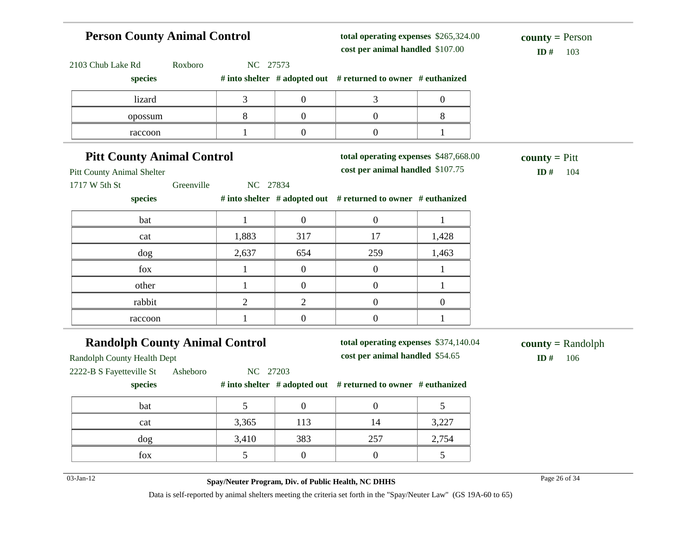### **Person County Animal Control** 2103 Chub Lake Rd Roxboro NC 27573 **species # into shelter # adopted out # returned to owner # euthanized total operating expenses** \$265,324.00 **cost per animal handled** \$107.00 **ID #** 103 **county =** Person  $\frac{1}{2}$  1izard  $\frac{3}{2}$  0 3 0 opossum 8 0 0 8 raccoon  $1 \t 1 \t 0 \t 0 \t 1$ **Pitt County Animal Control** Pitt County Animal Shelter 1717 W 5th St Greenville NC 27834 **species # into shelter # adopted out # returned to owner # euthanized total operating expenses** \$487,668.00 **cost per animal handled** \$107.75 **ID #** 104 **county =** Pitt bat 1 0 0 1 cat 1,883 317 17 1,428 dog 2,637 654 259 1,463 fox  $1 \t 0 \t 0 \t 1$ other 1 0 0 1 rabbit  $2 \t 2 \t 0 \t 0$ raccoon  $1 \t 1 \t 0 \t 0 \t 1$ **Randolph County Animal Control** Randolph County Health Dept 2222-B S Fayetteville St Asheboro NC 27203 **species # into shelter # adopted out # returned to owner # euthanized total operating expenses** \$374,140.04 **cost per animal handled** \$54.65 **ID #** 106 **county =** Randolph bat 1 5 0 0 5 cat 3,365 113 14 3,227 dog 3,410 383 257 2,754 fox  $\begin{array}{|c|c|c|c|c|} \hline 5 & 0 & 0 & 5 \ \hline \end{array}$ 03-Jan-12 Page 26 of 34 **Spay/Neuter Program, Div. of Public Health, NC DHHS**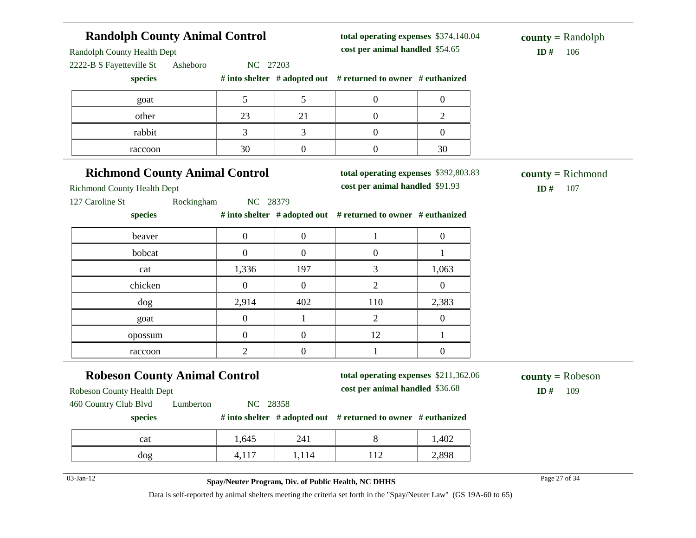### **Randolph County Animal Control** Randolph County Health Dept 2222-B S Fayetteville St Asheboro NC 27203 **species # into shelter # adopted out # returned to owner # euthanized total operating expenses** \$374,140.04 **cost per animal handled** \$54.65 **ID #** 106 **county =** Randolph goat  $\begin{array}{|c|c|c|c|c|} \hline \text{5} & \text{5} & \text{0} & \text{0} \ \hline \end{array}$ other 23 21 0 2 rabbit 1 3 3 0 0 0 raccoon and  $30$  0 0 30 **Richmond County Animal Control** Richmond County Health Dept 127 Caroline St Rockingham NC 28379 **species # into shelter # adopted out # returned to owner # euthanized total operating expenses** \$392,803.83 **cost per animal handled** \$91.93 **ID #** 107 **county =** Richmond beaver  $0 \t 0 \t 0 \t 1 \t 0$ bobcat 0 0 0 0 1 cat 1,336 197 3 1,063 chicken  $0 \t 0 \t 0 \t 2 \t 0$ dog 2,914 402 110 2,383 goat  $0 \t 1 \t 2 \t 0$ opossum 1 0 0 12 1 raccoon  $2 \t 0 \t 1 \t 0$ **Robeson County Animal Control** Robeson County Health Dept 460 Country Club Blvd Lumberton NC 28358 **species # into shelter # adopted out # returned to owner # euthanized total operating expenses** \$211,362.06 **cost per animal handled** \$36.68 **ID #** 109 **county =** Robeson cat 1,645 241 8 1,402 dog 1,117 1,114 112 2,898 03-Jan-12 Page 27 of 34 **Spay/Neuter Program, Div. of Public Health, NC DHHS**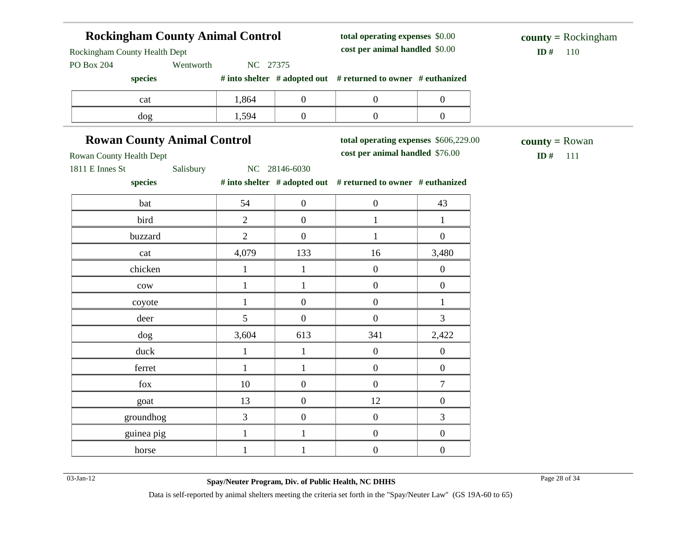### **Rockingham County Animal Control** Rockingham County Health Dept PO Box 204 Wentworth NC 27375 **species # into shelter # adopted out # returned to owner # euthanized total operating expenses** \$0.00 **cost per animal handled**  $$ **county =** Rockingham cat  $1,864$  0 0 0 dog 1,594 0 0 0 **Rowan County Animal Control** Rowan County Health Dept 1811 E Innes St Salisbury NC 28146-6030 **species # into shelter # adopted out # returned to owner # euthanized total operating expenses** \$606,229.00 **cost per animal handled** \$76.00 **ID #** 111 **county =** Rowan bat 1 54 0 0 1 43 bird 2 0 1 1 buzzard  $\begin{array}{ccccccc} & 2 & 0 & 1 & 0 \end{array}$ cat 14,079 133 16 3,480 chicken 1 1 1 0 0 0  $\text{row}$  1 1 0 0 coyote  $1 \t 0 \t 0 \t 1$ deer 5 0 0 3 dog 3,604 613 341 2,422 duck  $1 \quad 1 \quad 1 \quad 0 \quad 0$ ferret  $1 \quad 1 \quad 1 \quad 0 \quad 0$ fox  $10 \t 10 \t 0 \t 0 \t 7$ goat 13 0 12 0 groundhog  $\begin{array}{cccc} 3 & 0 & 0 \\ 3 & 3 & 0 \end{array}$ guinea pig  $1 \t 1 \t 1 \t 0 \t 0$ horse 1 1 1 0 0 0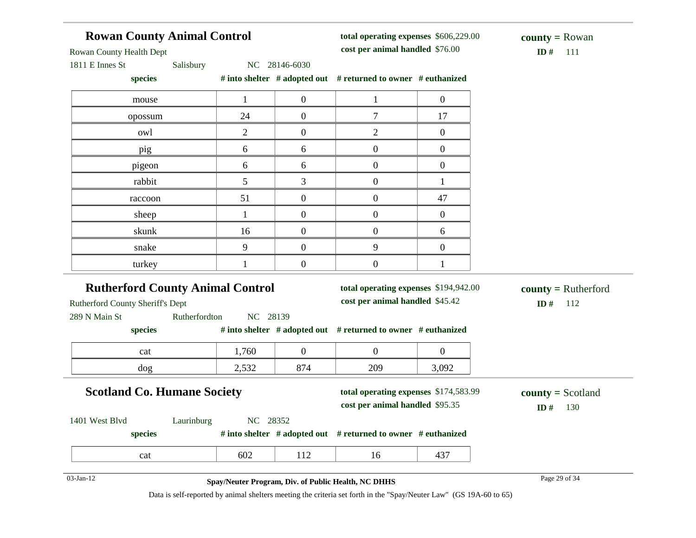| <b>Rowan County Animal Control</b><br>Rowan County Health Dept                                                |                                                     |                  |                                                                          | total operating expenses \$606,229.00<br>cost per animal handled \$76.00 |                                     |  |
|---------------------------------------------------------------------------------------------------------------|-----------------------------------------------------|------------------|--------------------------------------------------------------------------|--------------------------------------------------------------------------|-------------------------------------|--|
| 1811 E Innes St<br>Salisbury<br>species                                                                       | NC 28146-6030                                       |                  | # into shelter # adopted out # returned to owner # euthanized            |                                                                          | ID $#$<br>111                       |  |
| mouse                                                                                                         | $\mathbf{1}$                                        | $\mathbf{0}$     | $\mathbf{1}$                                                             | $\overline{0}$                                                           |                                     |  |
| opossum                                                                                                       | 24                                                  | $\mathbf{0}$     | $\overline{7}$                                                           | 17                                                                       |                                     |  |
| owl                                                                                                           | $\overline{2}$                                      | $\boldsymbol{0}$ | $\mathbf{2}$                                                             | $\overline{0}$                                                           |                                     |  |
| pig                                                                                                           | 6                                                   | 6                | $\overline{0}$                                                           | $\boldsymbol{0}$                                                         |                                     |  |
| pigeon                                                                                                        | 6                                                   | 6                | $\boldsymbol{0}$                                                         | $\overline{0}$                                                           |                                     |  |
| rabbit                                                                                                        | 5                                                   | 3                | $\boldsymbol{0}$                                                         | $\mathbf{1}$                                                             |                                     |  |
| raccoon                                                                                                       | 51                                                  | $\boldsymbol{0}$ | $\boldsymbol{0}$                                                         | 47                                                                       |                                     |  |
| sheep                                                                                                         | $\mathbf{1}$                                        | $\mathbf{0}$     | $\overline{0}$                                                           | $\boldsymbol{0}$                                                         |                                     |  |
| skunk                                                                                                         | 16                                                  | $\boldsymbol{0}$ | $\overline{0}$                                                           | 6                                                                        |                                     |  |
| snake                                                                                                         | 9                                                   | $\mathbf{0}$     | 9                                                                        | $\overline{0}$                                                           |                                     |  |
| turkey                                                                                                        | 1                                                   | $\overline{0}$   | $\overline{0}$                                                           | $\mathbf{1}$                                                             |                                     |  |
| <b>Rutherford County Animal Control</b><br>Rutherford County Sheriff's Dept<br>289 N Main St<br>Rutherfordton | NC 28139                                            |                  | total operating expenses \$194,942.00<br>cost per animal handled \$45.42 |                                                                          | $county = Rutherford$<br>ID#<br>112 |  |
| species                                                                                                       |                                                     |                  | # into shelter # adopted out # returned to owner # euthanized            |                                                                          |                                     |  |
| cat                                                                                                           | 1,760                                               | $\boldsymbol{0}$ | $\boldsymbol{0}$                                                         | $\overline{0}$                                                           |                                     |  |
| dog                                                                                                           | 2,532                                               | 874              | 209                                                                      | 3,092                                                                    |                                     |  |
| <b>Scotland Co. Humane Society</b>                                                                            |                                                     |                  | total operating expenses \$174,583.99<br>cost per animal handled \$95.35 |                                                                          | $county = Scotland$<br>ID#<br>130   |  |
| Laurinburg<br>1401 West Blvd<br>species                                                                       | NC 28352                                            |                  | # into shelter # adopted out # returned to owner # euthanized            |                                                                          |                                     |  |
| cat                                                                                                           | 602                                                 | 112              | 16                                                                       | 437                                                                      |                                     |  |
| 03-Jan-12                                                                                                     | Spay/Neuter Program, Div. of Public Health, NC DHHS |                  |                                                                          |                                                                          | Page 29 of 34                       |  |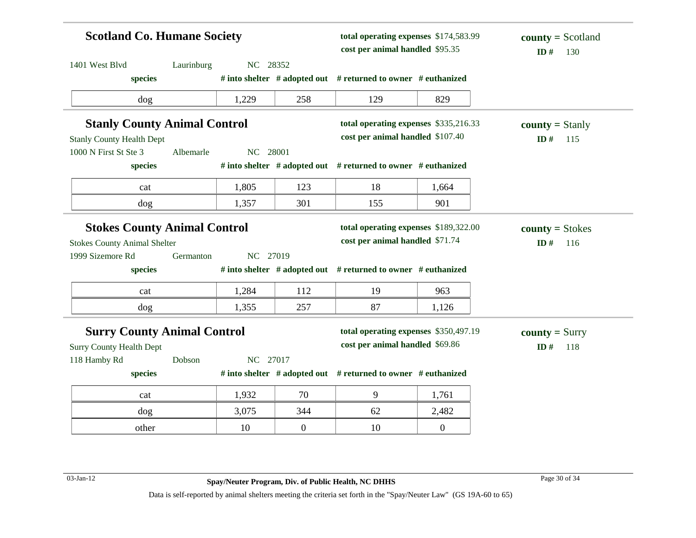| <b>Scotland Co. Humane Society</b>  |            |          |                | total operating expenses \$174,583.99<br>cost per animal handled \$95.35 |                  | $county = Scotland$<br>ID#<br>130 |  |
|-------------------------------------|------------|----------|----------------|--------------------------------------------------------------------------|------------------|-----------------------------------|--|
| 1401 West Blvd                      | Laurinburg | NC 28352 |                |                                                                          |                  |                                   |  |
| species                             |            |          |                | # into shelter $#$ adopted out $#$ returned to owner $#$ euthanized      |                  |                                   |  |
| dog                                 |            | 1,229    | 258            | 129                                                                      | 829              |                                   |  |
| <b>Stanly County Animal Control</b> |            |          |                | total operating expenses \$335,216.33                                    |                  | <b>county</b> = Stanly            |  |
| <b>Stanly County Health Dept</b>    |            |          |                | cost per animal handled \$107.40                                         |                  | ID#<br>115                        |  |
| 1000 N First St Ste 3               | Albemarle  | NC 28001 |                |                                                                          |                  |                                   |  |
| species                             |            |          |                | # into shelter # adopted out # returned to owner # euthanized            |                  |                                   |  |
| cat                                 |            | 1,805    | 123            | 18                                                                       | 1,664            |                                   |  |
| dog                                 |            | 1,357    | 301            | 155                                                                      | 901              |                                   |  |
| <b>Stokes County Animal Control</b> |            |          |                | total operating expenses \$189,322.00                                    |                  | $county = Stokes$                 |  |
| <b>Stokes County Animal Shelter</b> |            |          |                | cost per animal handled \$71.74                                          |                  | ID#<br>116                        |  |
| 1999 Sizemore Rd                    | Germanton  | NC 27019 |                |                                                                          |                  |                                   |  |
| species                             |            |          |                | # into shelter # adopted out # returned to owner # euthanized            |                  |                                   |  |
| cat                                 |            | 1,284    | 112            | 19                                                                       | 963              |                                   |  |
| dog                                 |            | 1,355    | 257            | 87                                                                       | 1,126            |                                   |  |
| <b>Surry County Animal Control</b>  |            |          |                | total operating expenses \$350,497.19                                    |                  | $county = Surry$                  |  |
| <b>Surry County Health Dept</b>     |            |          |                | cost per animal handled \$69.86                                          |                  | ID#<br>118                        |  |
| 118 Hamby Rd                        | Dobson     | NC 27017 |                |                                                                          |                  |                                   |  |
| species                             |            |          |                | # into shelter # adopted out # returned to owner # euthanized            |                  |                                   |  |
| cat                                 |            | 1,932    | 70             | 9                                                                        | 1,761            |                                   |  |
| dog                                 |            | 3,075    | 344            | 62                                                                       | 2,482            |                                   |  |
| other                               |            | 10       | $\overline{0}$ | 10                                                                       | $\boldsymbol{0}$ |                                   |  |

03-Jan-12 Page 30 of 34 **Spay/Neuter Program, Div. of Public Health, NC DHHS**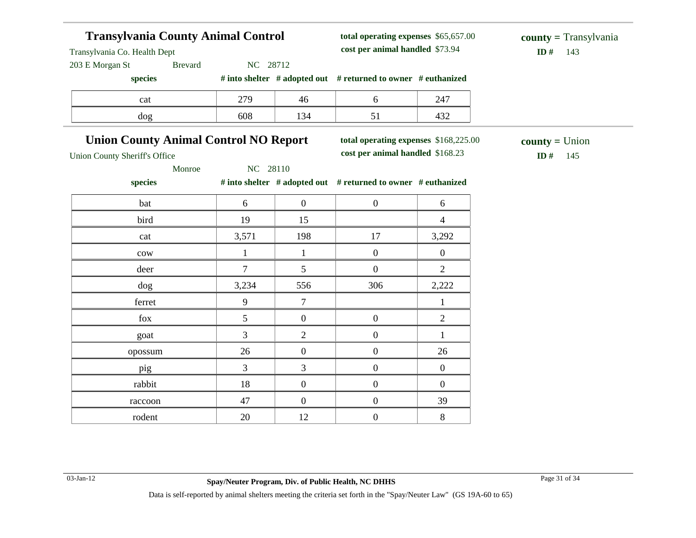| <b>Transylvania County Animal Control</b>    |                |                  | total operating expenses \$65,657.00                          |                  | $county = Transylvania$ |
|----------------------------------------------|----------------|------------------|---------------------------------------------------------------|------------------|-------------------------|
| Transylvania Co. Health Dept                 |                |                  | cost per animal handled \$73.94                               |                  | ID#<br>143              |
| 203 E Morgan St<br><b>Brevard</b>            | NC 28712       |                  |                                                               |                  |                         |
| species                                      |                |                  | # into shelter # adopted out # returned to owner # euthanized |                  |                         |
| cat                                          | 279            | 46               | 6                                                             | 247              |                         |
| dog                                          | 608            | 134              | 51                                                            | 432              |                         |
| <b>Union County Animal Control NO Report</b> |                |                  | total operating expenses \$168,225.00                         |                  | $county = Union$        |
| <b>Union County Sheriff's Office</b>         |                |                  | cost per animal handled \$168.23                              |                  | ID#<br>145              |
| Monroe                                       | NC 28110       |                  |                                                               |                  |                         |
| species                                      |                |                  | # into shelter # adopted out # returned to owner # euthanized |                  |                         |
| bat                                          | 6              | $\boldsymbol{0}$ | $\overline{0}$                                                | 6                |                         |
| bird                                         | 19             | 15               |                                                               | $\overline{4}$   |                         |
| cat                                          | 3,571          | 198              | 17                                                            | 3,292            |                         |
| $_{\text{cow}}$                              | $\mathbf{1}$   | $\mathbf{1}$     | $\overline{0}$                                                | $\mathbf{0}$     |                         |
| deer                                         | $\tau$         | 5                | $\overline{0}$                                                | $\overline{2}$   |                         |
| dog                                          | 3,234          | 556              | 306                                                           | 2,222            |                         |
| ferret                                       | 9              | 7                |                                                               | 1                |                         |
| fox                                          | 5              | $\boldsymbol{0}$ | $\boldsymbol{0}$                                              | $\overline{2}$   |                         |
| goat                                         | $\overline{3}$ | $\overline{2}$   | $\overline{0}$                                                | $\mathbf{1}$     |                         |
| opossum                                      | 26             | $\boldsymbol{0}$ | $\overline{0}$                                                | 26               |                         |
| pig                                          | 3              | 3                | $\overline{0}$                                                | $\boldsymbol{0}$ |                         |
| rabbit                                       | 18             | $\boldsymbol{0}$ | $\overline{0}$                                                | $\overline{0}$   |                         |
| raccoon                                      | 47             | $\boldsymbol{0}$ | $\boldsymbol{0}$                                              | 39               |                         |
| rodent                                       | 20             | 12               | $\boldsymbol{0}$                                              | 8                |                         |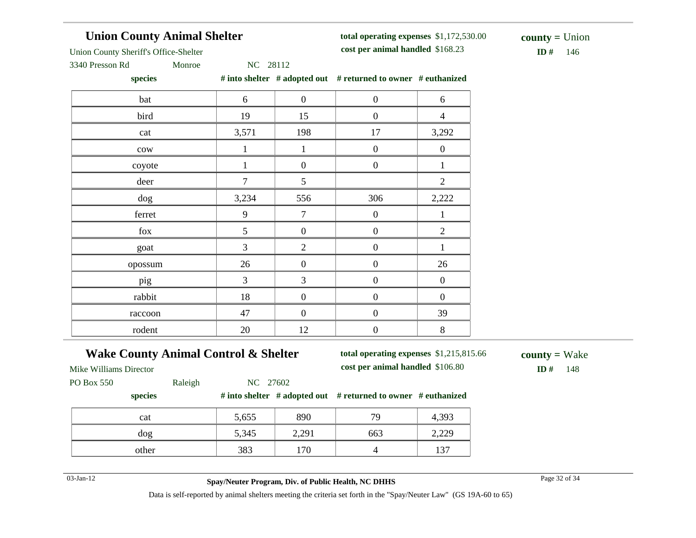## **Union County Animal Shelter**

**total operating expenses** \$1,172,530.00 **cost per animal handled**

 $ID# 146$ **county =** Union

Union County Sheriff's Office-Shelter

3340 Presson Rd Monroe NC 28112

**species # into shelter # adopted out # returned to owner # euthanized**

| $\mathcal{L}_{\text{PCLLS}}$ |                |                  | $\theta$ modern $\theta$ and $\theta$ and $\theta$ and $\theta$ and $\theta$ and $\theta$ and $\theta$ and $\theta$ and $\theta$ and $\theta$ and $\theta$ and $\theta$ and $\theta$ and $\theta$ and $\theta$ and $\theta$ and $\theta$ and $\theta$ and $\theta$ and $\theta$ and $\theta$ and $\theta$ and $\theta$ and $\$ |                  |
|------------------------------|----------------|------------------|--------------------------------------------------------------------------------------------------------------------------------------------------------------------------------------------------------------------------------------------------------------------------------------------------------------------------------|------------------|
| bat                          | 6              | $\boldsymbol{0}$ | $\boldsymbol{0}$                                                                                                                                                                                                                                                                                                               | 6                |
| bird                         | 19             | 15               | $\boldsymbol{0}$                                                                                                                                                                                                                                                                                                               | $\overline{4}$   |
| cat                          | 3,571          | 198              | 17                                                                                                                                                                                                                                                                                                                             | 3,292            |
| ${\rm\bf conv}$              | 1              | $\mathbf{1}$     | $\boldsymbol{0}$                                                                                                                                                                                                                                                                                                               | $\boldsymbol{0}$ |
| coyote                       | 1              | $\overline{0}$   | $\boldsymbol{0}$                                                                                                                                                                                                                                                                                                               | $\mathbf{1}$     |
| deer                         | $\overline{7}$ | $\mathfrak{S}$   |                                                                                                                                                                                                                                                                                                                                | $\sqrt{2}$       |
| dog                          | 3,234          | 556              | 306                                                                                                                                                                                                                                                                                                                            | 2,222            |
| ferret                       | 9              | $\overline{7}$   | $\boldsymbol{0}$                                                                                                                                                                                                                                                                                                               | $\mathbf{1}$     |
| fox                          | 5              | $\boldsymbol{0}$ | $\boldsymbol{0}$                                                                                                                                                                                                                                                                                                               | $\overline{2}$   |
| goat                         | $\overline{3}$ | $\overline{2}$   | $\overline{0}$                                                                                                                                                                                                                                                                                                                 | 1                |
| opossum                      | 26             | $\boldsymbol{0}$ | $\boldsymbol{0}$                                                                                                                                                                                                                                                                                                               | 26               |
| pig                          | $\overline{3}$ | $\overline{3}$   | $\boldsymbol{0}$                                                                                                                                                                                                                                                                                                               | $\boldsymbol{0}$ |
| rabbit                       | 18             | $\boldsymbol{0}$ | $\boldsymbol{0}$                                                                                                                                                                                                                                                                                                               | $\boldsymbol{0}$ |
| raccoon                      | 47             | $\overline{0}$   | $\boldsymbol{0}$                                                                                                                                                                                                                                                                                                               | 39               |
| rodent                       | 20             | 12               | $\boldsymbol{0}$                                                                                                                                                                                                                                                                                                               | $8\,$            |

### **Wake County Animal Control & Shelter**

**total operating expenses** \$1,215,815.66 **cost per animal handled** \$106.80 **ID #** 148

**county =** Wake

Mike Williams Director

PO Box 550 Raleigh NC 27602

### **species # into shelter # adopted out # returned to owner # euthanized**

| cat   | 5,655 | 890   | 70  | 4,393 |
|-------|-------|-------|-----|-------|
| dog   | 5,345 | 2,291 | 663 | 2,229 |
| other | 383   | 70    |     | 137   |

03-Jan-12 Page 32 of 34 **Spay/Neuter Program, Div. of Public Health, NC DHHS**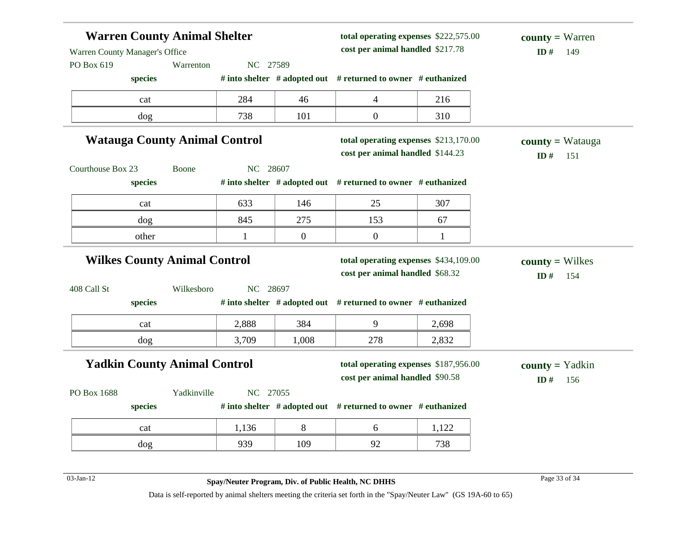|                                              | <b>Warren County Animal Shelter</b>  |              |                  | total operating expenses \$222,575.00<br>cost per animal handled \$217.78 |              | <b>county</b> = Warren<br>ID#         |
|----------------------------------------------|--------------------------------------|--------------|------------------|---------------------------------------------------------------------------|--------------|---------------------------------------|
| Warren County Manager's Office<br>PO Box 619 | Warrenton<br>species                 | NC 27589     |                  | # into shelter # adopted out # returned to owner # euthanized             |              | 149                                   |
|                                              | cat                                  | 284          | 46               | $\overline{4}$                                                            | 216          |                                       |
|                                              | dog                                  | 738          | 101              | $\boldsymbol{0}$                                                          | 310          |                                       |
|                                              | <b>Watauga County Animal Control</b> |              |                  | total operating expenses \$213,170.00<br>cost per animal handled \$144.23 |              | <b>county</b> = Watauga<br>ID#<br>151 |
| Courthouse Box 23                            | <b>Boone</b>                         | NC 28607     |                  |                                                                           |              |                                       |
|                                              | species                              |              |                  | # into shelter $#$ adopted out $#$ returned to owner $#$ euthanized       |              |                                       |
|                                              | cat                                  | 633          | 146              | 25                                                                        | 307          |                                       |
|                                              | dog                                  | 845          | 275              | 153                                                                       | 67           |                                       |
|                                              | other                                | $\mathbf{1}$ | $\boldsymbol{0}$ | $\boldsymbol{0}$                                                          | $\mathbf{1}$ |                                       |
|                                              |                                      |              |                  |                                                                           |              |                                       |
|                                              | <b>Wilkes County Animal Control</b>  |              |                  | total operating expenses \$434,109.00                                     |              | $county = Wilkes$                     |
|                                              | Wilkesboro                           | NC 28697     |                  | cost per animal handled \$68.32                                           |              | ID#<br>154                            |
|                                              | species                              |              |                  | # into shelter # adopted out # returned to owner # euthanized             |              |                                       |
| 408 Call St                                  | cat                                  | 2,888        | 384              | 9                                                                         | 2,698        |                                       |
|                                              | dog                                  | 3,709        | 1,008            | 278                                                                       | 2,832        |                                       |
|                                              | <b>Yadkin County Animal Control</b>  |              |                  | total operating expenses \$187,956.00<br>cost per animal handled \$90.58  |              | $county = Yadkin$<br>ID#<br>156       |
| PO Box 1688                                  | Yadkinville                          | NC 27055     |                  |                                                                           |              |                                       |
|                                              | species                              |              |                  | # into shelter # adopted out # returned to owner # euthanized             |              |                                       |
|                                              | cat                                  | 1,136        | 8                | 6                                                                         | 1,122        |                                       |

03-Jan-12 Page 33 of 34 **Spay/Neuter Program, Div. of Public Health, NC DHHS**